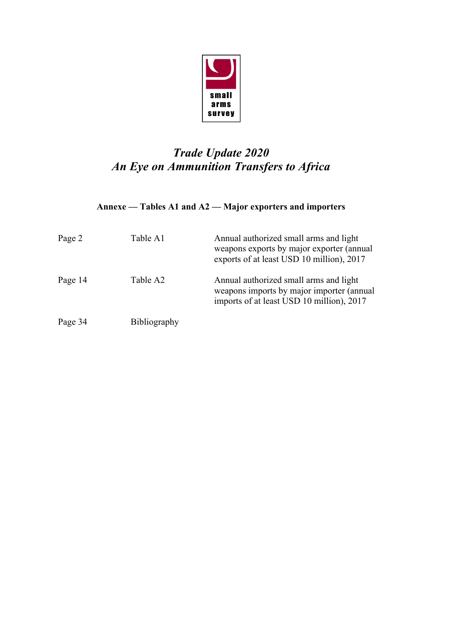

# *Trade Update 2020 An Eye on Ammunition Transfers to Africa*

## **Annexe — Tables A1 and A2 — Major exporters and importers**

| Page 2  | Table A1            | Annual authorized small arms and light<br>weapons exports by major exporter (annual<br>exports of at least USD 10 million), 2017 |
|---------|---------------------|----------------------------------------------------------------------------------------------------------------------------------|
| Page 14 | Table A2            | Annual authorized small arms and light<br>weapons imports by major importer (annual<br>imports of at least USD 10 million), 2017 |
| Page 34 | <b>Bibliography</b> |                                                                                                                                  |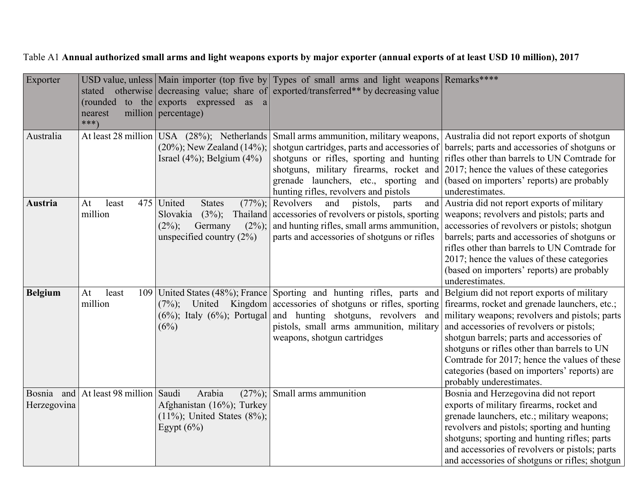Table A1 **Annual authorized small arms and light weapons exports by major exporter (annual exports of at least USD 10 million), 2017**

| Exporter                  | nearest<br>$***)$         | (rounded to the exports expressed as a<br>million   percentage)                                                          | USD value, unless Main importer (top five by Types of small arms and light weapons Remarks****<br>stated otherwise decreasing value; share of exported/transferred** by decreasing value                                                                                                                |                                                                                                                                                                                                                                                                                                                                                                                                                   |
|---------------------------|---------------------------|--------------------------------------------------------------------------------------------------------------------------|---------------------------------------------------------------------------------------------------------------------------------------------------------------------------------------------------------------------------------------------------------------------------------------------------------|-------------------------------------------------------------------------------------------------------------------------------------------------------------------------------------------------------------------------------------------------------------------------------------------------------------------------------------------------------------------------------------------------------------------|
| Australia                 |                           | At least 28 million USA (28%); Netherlands<br>$(20\%)$ ; New Zealand $(14\%)$ ;<br>Israel $(4\%)$ ; Belgium $(4\%)$      | Small arms ammunition, military weapons, Australia did not report exports of shotgun<br>shotguns, military firearms, rocket and 2017; hence the values of these categories<br>grenade launchers, etc., sporting and (based on importers' reports) are probably<br>hunting rifles, revolvers and pistols | shotgun cartridges, parts and accessories of barrels; parts and accessories of shotguns or<br>shotguns or rifles, sporting and hunting rifles other than barrels to UN Comtrade for<br>underestimates.                                                                                                                                                                                                            |
| Austria                   | At<br>least<br>million    | 475 United<br><b>States</b><br>$(3\%)$ ;<br>Slovakia<br>Germany<br>$(2\%)$ ;<br>$(2\%)$ ;<br>unspecified country $(2\%)$ | $(77\%)$ ; Revolvers<br>and<br>pistols,<br>parts<br>Thailand accessories of revolvers or pistols, sporting<br>and hunting rifles, small arms ammunition,<br>parts and accessories of shotguns or rifles                                                                                                 | and Austria did not report exports of military<br>weapons; revolvers and pistols; parts and<br>accessories of revolvers or pistols; shotgun<br>barrels; parts and accessories of shotguns or<br>rifles other than barrels to UN Comtrade for<br>2017; hence the values of these categories<br>(based on importers' reports) are probably<br>underestimates.                                                       |
| <b>Belgium</b>            | At<br>least<br>million    | $(7\%)$ ;<br>(6%)                                                                                                        | 109 United States (48%); France Sporting and hunting rifles, parts and<br>United Kingdom accessories of shotguns or rifles, sporting<br>$(6\%)$ ; Italy $(6\%)$ ; Portugal and hunting shotguns, revolvers and<br>pistols, small arms ammunition, military<br>weapons, shotgun cartridges               | Belgium did not report exports of military<br>firearms, rocket and grenade launchers, etc.;<br>military weapons; revolvers and pistols; parts<br>and accessories of revolvers or pistols;<br>shotgun barrels; parts and accessories of<br>shotguns or rifles other than barrels to UN<br>Comtrade for 2017; hence the values of these<br>categories (based on importers' reports) are<br>probably underestimates. |
| Bosnia and<br>Herzegovina | At least 98 million Saudi | Arabia<br>Afghanistan (16%); Turkey<br>$(11\%)$ ; United States $(8\%)$ ;<br>Egypt $(6%)$                                | $(27\%)$ ; Small arms ammunition                                                                                                                                                                                                                                                                        | Bosnia and Herzegovina did not report<br>exports of military firearms, rocket and<br>grenade launchers, etc.; military weapons;<br>revolvers and pistols; sporting and hunting<br>shotguns; sporting and hunting rifles; parts<br>and accessories of revolvers or pistols; parts<br>and accessories of shotguns or rifles; shotgun                                                                                |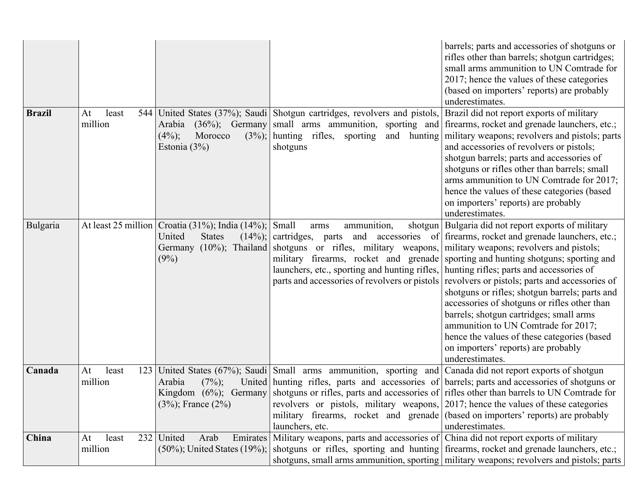|               |                               |                                                                                          |                                                                                                                                                                                                                                          | barrels; parts and accessories of shotguns or<br>rifles other than barrels; shotgun cartridges;<br>small arms ammunition to UN Comtrade for<br>2017; hence the values of these categories<br>(based on importers' reports) are probably<br>underestimates.                                                                                                                                                                                                                                                                                                                                                                                   |
|---------------|-------------------------------|------------------------------------------------------------------------------------------|------------------------------------------------------------------------------------------------------------------------------------------------------------------------------------------------------------------------------------------|----------------------------------------------------------------------------------------------------------------------------------------------------------------------------------------------------------------------------------------------------------------------------------------------------------------------------------------------------------------------------------------------------------------------------------------------------------------------------------------------------------------------------------------------------------------------------------------------------------------------------------------------|
| <b>Brazil</b> | At<br>least<br>million        | Morocco<br>$(4\%)$ ;<br>Estonia $(3\%)$                                                  | 544 United States (37%); Saudi Shotgun cartridges, revolvers and pistols,<br>$(3\%)$ ; hunting rifles, sporting<br>and hunting<br>shotguns                                                                                               | Brazil did not report exports of military<br>Arabia (36%); Germany small arms ammunition, sporting and firearms, rocket and grenade launchers, etc.;<br>military weapons; revolvers and pistols; parts<br>and accessories of revolvers or pistols;<br>shotgun barrels; parts and accessories of<br>shotguns or rifles other than barrels; small<br>arms ammunition to UN Comtrade for 2017;<br>hence the values of these categories (based<br>on importers' reports) are probably<br>underestimates.                                                                                                                                         |
| Bulgaria      |                               | At least 25 million   Croatia (31%); India (14%); $ $<br>United<br><b>States</b><br>(9%) | Small<br>ammunition,<br>arms<br>Germany (10%); Thailand shotguns or rifles, military weapons,<br>military firearms, rocket and grenade<br>launchers, etc., sporting and hunting rifles,<br>parts and accessories of revolvers or pistols | shotgun   Bulgaria did not report exports of military<br>$(14\%)$ ; cartridges, parts and accessories of firearms, rocket and grenade launchers, etc.;<br>military weapons; revolvers and pistols;<br>sporting and hunting shotguns; sporting and<br>hunting rifles; parts and accessories of<br>revolvers or pistols; parts and accessories of<br>shotguns or rifles; shotgun barrels; parts and<br>accessories of shotguns or rifles other than<br>barrels; shotgun cartridges; small arms<br>ammunition to UN Comtrade for 2017;<br>hence the values of these categories (based<br>on importers' reports) are probably<br>underestimates. |
| Canada        | At<br>least<br>123<br>million | Arabia<br>$(7\%)$ ;<br>$(3\%)$ ; France $(2\%)$                                          | United States (67%); Saudi Small arms ammunition, sporting and Canada did not report exports of shotgun<br>revolvers or pistols, military weapons, 2017; hence the values of these categories<br>launchers, etc.                         | United   hunting rifles, parts and accessories of   barrels; parts and accessories of shotguns or<br>Kingdom $(6\%)$ ; Germany shotguns or rifles, parts and accessories of rifles other than barrels to UN Comtrade for<br>military firearms, rocket and grenade (based on importers' reports) are probably<br>underestimates.                                                                                                                                                                                                                                                                                                              |
| China         | least<br>232<br>At<br>million | United<br>Emirates<br>Arab<br>$(50\%)$ ; United States $(19\%)$ ;                        | Military weapons, parts and accessories of China did not report exports of military                                                                                                                                                      | shotguns or rifles, sporting and hunting firearms, rocket and grenade launchers, etc.;<br>shotguns, small arms ammunition, sporting military weapons; revolvers and pistols; parts                                                                                                                                                                                                                                                                                                                                                                                                                                                           |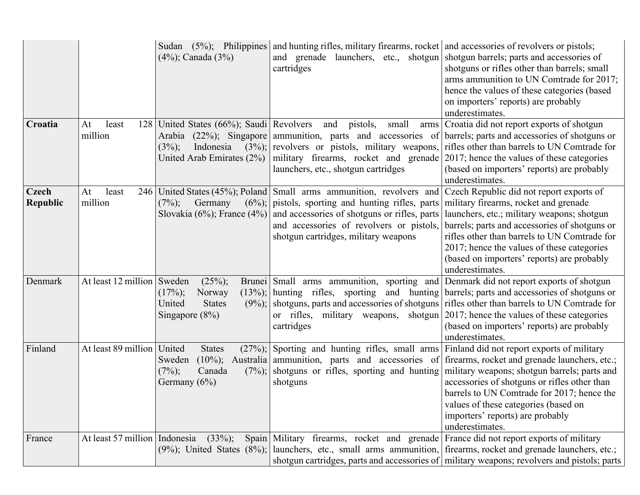|                                 |                               | $(4\%)$ ; Canada $(3\%)$                                                                     | Sudan (5%); Philippines and hunting rifles, military firearms, rocket and accessories of revolvers or pistols;<br>and grenade launchers, etc., shotgun shotgun barrels; parts and accessories of<br>cartridges                                                                               | shotguns or rifles other than barrels; small<br>arms ammunition to UN Comtrade for 2017;<br>hence the values of these categories (based<br>on importers' reports) are probably<br>underestimates.                                                                                                                                                                                            |
|---------------------------------|-------------------------------|----------------------------------------------------------------------------------------------|----------------------------------------------------------------------------------------------------------------------------------------------------------------------------------------------------------------------------------------------------------------------------------------------|----------------------------------------------------------------------------------------------------------------------------------------------------------------------------------------------------------------------------------------------------------------------------------------------------------------------------------------------------------------------------------------------|
| Croatia                         | least<br>At<br>128<br>million | United States (66%); Saudi Revolvers<br>Arabia<br>$(3\%)$ ;<br>Indonesia                     | small<br>and pistols,<br>$(22\%)$ ; Singapore ammunition, parts and accessories of<br>$(3\%)$ ; revolvers or pistols, military weapons,<br>United Arab Emirates $(2\%)$ military firearms, rocket and grenade<br>launchers, etc., shotgun cartridges                                         | arms   Croatia did not report exports of shotgun<br>barrels; parts and accessories of shotguns or<br>rifles other than barrels to UN Comtrade for<br>2017; hence the values of these categories<br>(based on importers' reports) are probably<br>underestimates.                                                                                                                             |
| <b>Czech</b><br><b>Republic</b> | At<br>least<br>million        | $(7\%)$ ;<br>Germany                                                                         | 246 United States (45%); Poland Small arms ammunition, revolvers and<br>$(6\%)$ ; pistols, sporting and hunting rifles, parts<br>Slovakia (6%); France (4%) and accessories of shotguns or rifles, parts<br>and accessories of revolvers or pistols,<br>shotgun cartridges, military weapons | Czech Republic did not report exports of<br>military firearms, rocket and grenade<br>launchers, etc.; military weapons; shotgun<br>barrels; parts and accessories of shotguns or<br>rifles other than barrels to UN Comtrade for<br>2017; hence the values of these categories<br>(based on importers' reports) are probably<br>underestimates.                                              |
| Denmark                         | At least 12 million           | Sweden<br>$(25\%)$ ;<br>$(17\%)$ ;<br>Norway<br>United<br><b>States</b><br>Singapore $(8\%)$ | Brunei Small arms ammunition, sporting and Denmark did not report exports of shotgun<br>$(13\%)$ ; hunting rifles, sporting<br>or rifles, military weapons, shotgun<br>cartridges                                                                                                            | and hunting barrels; parts and accessories of shotguns or<br>$(9\%)$ ; shotguns, parts and accessories of shotguns rifles other than barrels to UN Comtrade for<br>2017; hence the values of these categories<br>(based on importers' reports) are probably<br>underestimates.                                                                                                               |
| Finland                         | At least 89 million           | United<br><b>States</b><br>$(10\%)$ ;<br>Sweden<br>$(7%)$ ;<br>Canada<br>Germany (6%)        | $(27\%)$ ; Sporting and hunting rifles, small arms Finland did not report exports of military<br>shotguns                                                                                                                                                                                    | Australia ammunition, parts and accessories of firearms, rocket and grenade launchers, etc.;<br>$(7\%)$ ; shotguns or rifles, sporting and hunting military weapons; shotgun barrels; parts and<br>accessories of shotguns or rifles other than<br>barrels to UN Comtrade for 2017; hence the<br>values of these categories (based on<br>importers' reports) are probably<br>underestimates. |
| France                          | At least 57 million Indonesia | $(33\%)$ ;                                                                                   | Spain Military firearms, rocket and grenade France did not report exports of military                                                                                                                                                                                                        | $(9\%)$ ; United States $(8\%)$ ; launchers, etc., small arms ammunition, firearms, rocket and grenade launchers, etc.;<br>shotgun cartridges, parts and accessories of military weapons; revolvers and pistols; parts                                                                                                                                                                       |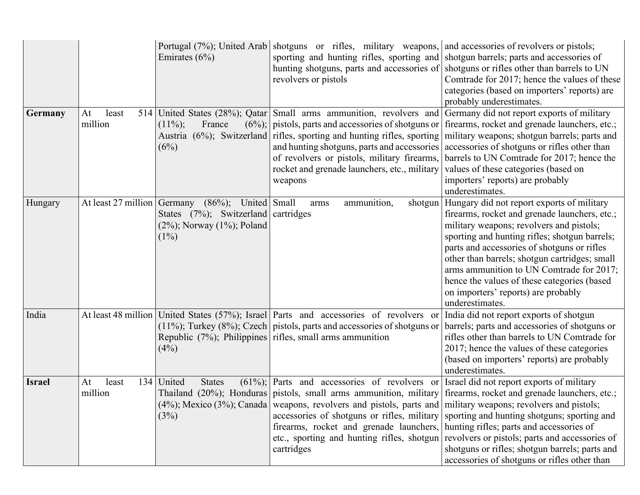|               |                        | Emirates $(6\%)$                                                                                                           | Portugal (7%); United Arab shotguns or rifles, military weapons, and accessories of revolvers or pistols;<br>sporting and hunting rifles, sporting and shotgun barrels; parts and accessories of<br>hunting shotguns, parts and accessories of shotguns or rifles other than barrels to UN<br>revolvers or pistols                                                 | Comtrade for 2017; hence the values of these<br>categories (based on importers' reports) are<br>probably underestimates.                                                                                                                                                                                                                                                                                                                      |
|---------------|------------------------|----------------------------------------------------------------------------------------------------------------------------|--------------------------------------------------------------------------------------------------------------------------------------------------------------------------------------------------------------------------------------------------------------------------------------------------------------------------------------------------------------------|-----------------------------------------------------------------------------------------------------------------------------------------------------------------------------------------------------------------------------------------------------------------------------------------------------------------------------------------------------------------------------------------------------------------------------------------------|
| Germany       | least<br>At<br>million | $(11\%)$ ;<br>France<br>(6%)                                                                                               | 514 United States (28%); Qatar Small arms ammunition, revolvers and<br>$(6\%)$ ; pistols, parts and accessories of shotguns or<br>Austria (6%); Switzerland rifles, sporting and hunting rifles, sporting<br>and hunting shotguns, parts and accessories<br>of revolvers or pistols, military firearms,<br>rocket and grenade launchers, etc., military<br>weapons | Germany did not report exports of military<br>firearms, rocket and grenade launchers, etc.;<br>military weapons; shotgun barrels; parts and<br>accessories of shotguns or rifles other than<br>barrels to UN Comtrade for 2017; hence the<br>values of these categories (based on<br>importers' reports) are probably<br>underestimates.                                                                                                      |
| Hungary       | At least 27 million    | Germany<br>$(86\%)$ ; United Small<br>States $(7\%)$ ; Switzerland cartridges<br>$(2\%)$ ; Norway $(1\%)$ ; Poland<br>(1%) | ammunition,<br>shotgun<br>arms                                                                                                                                                                                                                                                                                                                                     | Hungary did not report exports of military<br>firearms, rocket and grenade launchers, etc.;<br>military weapons; revolvers and pistols;<br>sporting and hunting rifles; shotgun barrels;<br>parts and accessories of shotguns or rifles<br>other than barrels; shotgun cartridges; small<br>arms ammunition to UN Comtrade for 2017;<br>hence the values of these categories (based<br>on importers' reports) are probably<br>underestimates. |
| India         |                        | (4%)                                                                                                                       | At least 48 million United States (57%); Israel Parts and accessories of revolvers or<br>$(11\%)$ ; Turkey $(8\%)$ ; Czech   pistols, parts and accessories of shotguns or<br>Republic $(7\%)$ ; Philippines rifles, small arms ammunition                                                                                                                         | India did not report exports of shotgun<br>barrels; parts and accessories of shotguns or<br>rifles other than barrels to UN Comtrade for<br>2017; hence the values of these categories<br>(based on importers' reports) are probably<br>underestimates.                                                                                                                                                                                       |
| <b>Israel</b> | least<br>At<br>million | 134 United<br><b>States</b><br>(3%)                                                                                        | $(61\%)$ ; Parts and accessories of revolvers or Israel did not report exports of military<br>$(4\%)$ ; Mexico $(3\%)$ ; Canada weapons, revolvers and pistols, parts and military weapons; revolvers and pistols;<br>firearms, rocket and grenade launchers,<br>etc., sporting and hunting rifles, shotgun<br>cartridges                                          | Thailand (20%); Honduras pistols, small arms ammunition, military firearms, rocket and grenade launchers, etc.;<br>accessories of shotguns or rifles, military sporting and hunting shotguns; sporting and<br>hunting rifles; parts and accessories of<br>revolvers or pistols; parts and accessories of<br>shotguns or rifles; shotgun barrels; parts and<br>accessories of shotguns or rifles other than                                    |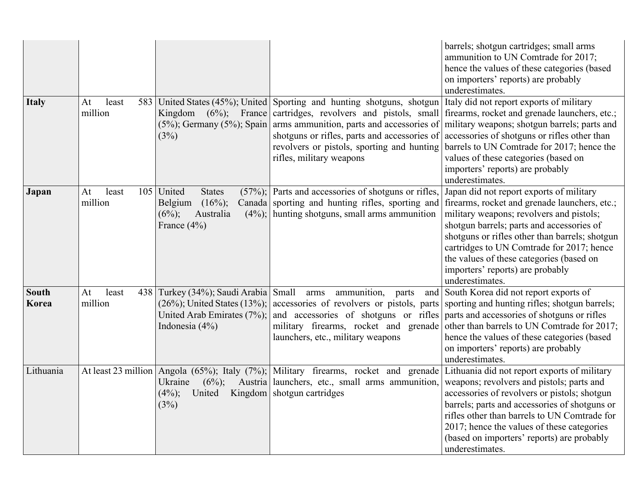|                       |                               |                                                                                                                                 |                                                                                                                                                                                                                                                                                                                                                  | barrels; shotgun cartridges; small arms<br>ammunition to UN Comtrade for 2017;<br>hence the values of these categories (based<br>on importers' reports) are probably<br>underestimates.                                                                                                                                                                                              |
|-----------------------|-------------------------------|---------------------------------------------------------------------------------------------------------------------------------|--------------------------------------------------------------------------------------------------------------------------------------------------------------------------------------------------------------------------------------------------------------------------------------------------------------------------------------------------|--------------------------------------------------------------------------------------------------------------------------------------------------------------------------------------------------------------------------------------------------------------------------------------------------------------------------------------------------------------------------------------|
| <b>Italy</b>          | least<br>At<br>million        | (3%)                                                                                                                            | 583 United States (45%); United Sporting and hunting shotguns, shotgun<br>Kingdom (6%); France cartridges, revolvers and pistols, small<br>$(5\%)$ ; Germany $(5\%)$ ; Spain arms ammunition, parts and accessories of<br>shotguns or rifles, parts and accessories of<br>revolvers or pistols, sporting and hunting<br>rifles, military weapons | Italy did not report exports of military<br>firearms, rocket and grenade launchers, etc.;<br>military weapons; shotgun barrels; parts and<br>accessories of shotguns or rifles other than<br>barrels to UN Comtrade for 2017; hence the<br>values of these categories (based on<br>importers' reports) are probably<br>underestimates.                                               |
| Japan                 | least<br>105<br>At<br>million | United<br><b>States</b><br>$(16\%)$ ;<br>Belgium<br>Australia<br>$(6\%)$ ;<br>France $(4\%)$                                    | $(57\%)$ ; Parts and accessories of shotguns or rifles,<br>Canada sporting and hunting rifles, sporting and<br>$(4\%)$ ; hunting shotguns, small arms ammunition                                                                                                                                                                                 | Japan did not report exports of military<br>firearms, rocket and grenade launchers, etc.;<br>military weapons; revolvers and pistols;<br>shotgun barrels; parts and accessories of<br>shotguns or rifles other than barrels; shotgun<br>cartridges to UN Comtrade for 2017; hence<br>the values of these categories (based on<br>importers' reports) are probably<br>underestimates. |
| <b>South</b><br>Korea | At<br>least<br>million        | 438 Turkey (34%); Saudi Arabia Small<br>$(26\%)$ ; United States $(13\%)$ ;<br>United Arab Emirates $(7\%)$ ;<br>Indonesia (4%) | ammunition,<br>arms<br>parts<br>accessories of revolvers or pistols, parts<br>and accessories of shotguns or rifles<br>military firearms, rocket and grenade<br>launchers, etc., military weapons                                                                                                                                                | and South Korea did not report exports of<br>sporting and hunting rifles; shotgun barrels;<br>parts and accessories of shotguns or rifles<br>other than barrels to UN Comtrade for 2017;<br>hence the values of these categories (based<br>on importers' reports) are probably<br>underestimates.                                                                                    |
| Lithuania             |                               | $(6\%)$ ;<br>Ukraine<br>United<br>$(4\%)$ ;<br>(3%)                                                                             | At least 23 million Angola (65%); Italy (7%); Military firearms, rocket and grenade Lithuania did not report exports of military<br>Austria launchers, etc., small arms ammunition,<br>Kingdom   shotgun cartridges                                                                                                                              | weapons; revolvers and pistols; parts and<br>accessories of revolvers or pistols; shotgun<br>barrels; parts and accessories of shotguns or<br>rifles other than barrels to UN Comtrade for<br>2017; hence the values of these categories<br>(based on importers' reports) are probably<br>underestimates.                                                                            |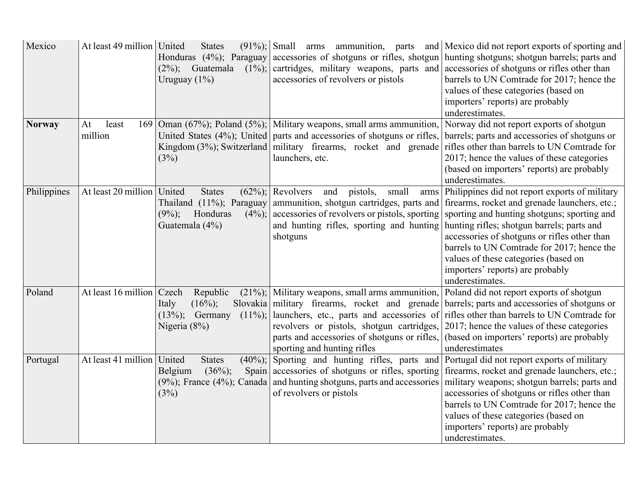| Mexico        | At least 49 million   United | <b>States</b><br>Honduras (4%); Paraguay<br>$(2\%)$ ; Guatemala<br>$(1\%)$ ;<br>Uruguay $(1\%)$             | cartridges, military weapons, parts and accessories of shotguns or rifles other than<br>accessories of revolvers or pistols                                                                                         | $(91\%)$ ; Small arms ammunition, parts and Mexico did not report exports of sporting and<br>accessories of shotguns or rifles, shotgun hunting shotguns; shotgun barrels; parts and<br>barrels to UN Comtrade for 2017; hence the<br>values of these categories (based on<br>importers' reports) are probably<br>underestimates.                                                                                                        |
|---------------|------------------------------|-------------------------------------------------------------------------------------------------------------|---------------------------------------------------------------------------------------------------------------------------------------------------------------------------------------------------------------------|------------------------------------------------------------------------------------------------------------------------------------------------------------------------------------------------------------------------------------------------------------------------------------------------------------------------------------------------------------------------------------------------------------------------------------------|
| <b>Norway</b> | At<br>least<br>million       | (3%)                                                                                                        | 169 Oman (67%); Poland (5%); Military weapons, small arms ammunition,<br>launchers, etc.                                                                                                                            | Norway did not report exports of shotgun<br>United States (4%); United parts and accessories of shotguns or rifles, barrels; parts and accessories of shotguns or<br>Kingdom $(3\%)$ ; Switzerland   military firearms, rocket and grenade   rifles other than barrels to UN Comtrade for<br>2017; hence the values of these categories<br>(based on importers' reports) are probably<br>underestimates.                                 |
| Philippines   | At least 20 million          | United<br><b>States</b><br>Thailand (11%); Paraguay<br>$(9\%)$ ;<br>Honduras<br>$(4\%)$ ;<br>Guatemala (4%) | $(62\%)$ ; Revolvers<br>small<br>pistols,<br>and<br>and hunting rifles, sporting and hunting hunting rifles; shotgun barrels; parts and<br>shotguns                                                                 | arms Philippines did not report exports of military<br>ammunition, shotgun cartridges, parts and firearms, rocket and grenade launchers, etc.;<br>accessories of revolvers or pistols, sporting sporting and hunting shotguns; sporting and<br>accessories of shotguns or rifles other than<br>barrels to UN Comtrade for 2017; hence the<br>values of these categories (based on<br>importers' reports) are probably<br>underestimates. |
| Poland        | At least 16 million Czech    | Republic<br>$(16\%)$ ;<br>Italy<br>$(13\%)$ ; Germany<br>$(11\%)$ ;<br>Nigeria (8%)                         | $(21\%)$ ; Military weapons, small arms ammunition, Poland did not report exports of shotgun<br>revolvers or pistols, shotgun cartridges, 2017; hence the values of these categories<br>sporting and hunting rifles | Slovakia military firearms, rocket and grenade barrels; parts and accessories of shotguns or<br>launchers, etc., parts and accessories of rifles other than barrels to UN Comtrade for<br>parts and accessories of shotguns or rifles, (based on importers' reports) are probably<br>underestimates                                                                                                                                      |
| Portugal      | At least 41 million   United | <b>States</b><br>Belgium<br>$(36\%)$ ;<br>(3%)                                                              | $(40\%)$ ; Sporting and hunting rifles, parts and Portugal did not report exports of military<br>of revolvers or pistols                                                                                            | Spain accessories of shotguns or rifles, sporting firearms, rocket and grenade launchers, etc.;<br>$(9\%)$ ; France $(4\%)$ ; Canada and hunting shotguns, parts and accessories military weapons; shotgun barrels; parts and<br>accessories of shotguns or rifles other than<br>barrels to UN Comtrade for 2017; hence the<br>values of these categories (based on<br>importers' reports) are probably<br>underestimates.               |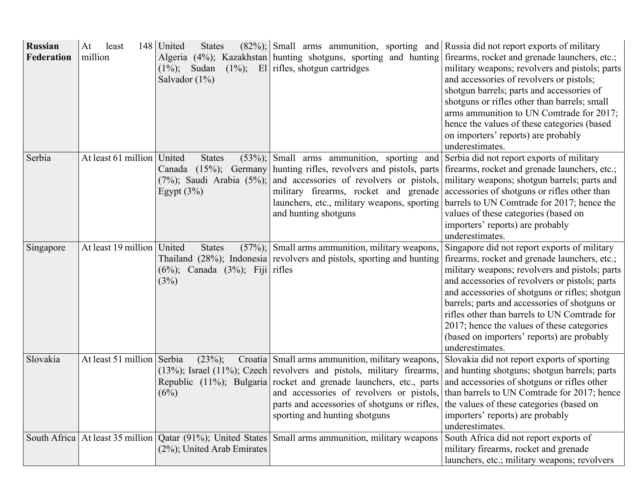| Russian<br>Federation | At<br>least<br>million       | 148 United<br><b>States</b><br>$(1\%)$ ; Sudan<br>Salvador $(1\%)$             | $(82\%)$ ; Small arms ammunition, sporting and Russia did not report exports of military<br>$(1\%)$ ; El rifles, shotgun cartridges                                                                                                                                                                                                 | Algeria (4%); Kazakhstan   hunting shotguns, sporting and hunting   firearms, rocket and grenade launchers, etc.;<br>military weapons; revolvers and pistols; parts<br>and accessories of revolvers or pistols;<br>shotgun barrels; parts and accessories of<br>shotguns or rifles other than barrels; small<br>arms ammunition to UN Comtrade for 2017;<br>hence the values of these categories (based<br>on importers' reports) are probably<br>underestimates.   |
|-----------------------|------------------------------|--------------------------------------------------------------------------------|-------------------------------------------------------------------------------------------------------------------------------------------------------------------------------------------------------------------------------------------------------------------------------------------------------------------------------------|---------------------------------------------------------------------------------------------------------------------------------------------------------------------------------------------------------------------------------------------------------------------------------------------------------------------------------------------------------------------------------------------------------------------------------------------------------------------|
| Serbia                | At least 61 million   United | <b>States</b><br>$(53%)$ ;<br>$(7\%)$ ; Saudi Arabia $(5\%)$ ;<br>Egypt $(3%)$ | Small arms ammunition, sporting and<br>Canada (15%); Germany hunting rifles, revolvers and pistols, parts<br>and accessories of revolvers or pistols,<br>military firearms, rocket and grenade<br>launchers, etc., military weapons, sporting<br>and hunting shotguns                                                               | Serbia did not report exports of military<br>firearms, rocket and grenade launchers, etc.;<br>military weapons; shotgun barrels; parts and<br>accessories of shotguns or rifles other than<br>barrels to UN Comtrade for 2017; hence the<br>values of these categories (based on<br>importers' reports) are probably<br>underestimates.                                                                                                                             |
| Singapore             | At least 19 million   United | <b>States</b><br>$(6\%)$ ; Canada $(3\%)$ ; Fiji rifles<br>(3%)                | $(57\%)$ ; Small arms ammunition, military weapons,<br>Thailand (28%); Indonesia revolvers and pistols, sporting and hunting                                                                                                                                                                                                        | Singapore did not report exports of military<br>firearms, rocket and grenade launchers, etc.;<br>military weapons; revolvers and pistols; parts<br>and accessories of revolvers or pistols; parts<br>and accessories of shotguns or rifles; shotgun<br>barrels; parts and accessories of shotguns or<br>rifles other than barrels to UN Comtrade for<br>2017; hence the values of these categories<br>(based on importers' reports) are probably<br>underestimates. |
| Slovakia              | At least 51 million Serbia   | $(23%)$ ;<br>(6%)                                                              | Croatia Small arms ammunition, military weapons,<br>$(13\%)$ ; Israel $(11\%)$ ; Czech revolvers and pistols, military firearms,<br>Republic (11%); Bulgaria rocket and grenade launchers, etc., parts<br>and accessories of revolvers or pistols,<br>parts and accessories of shotguns or rifles,<br>sporting and hunting shotguns | Slovakia did not report exports of sporting<br>and hunting shotguns; shotgun barrels; parts<br>and accessories of shotguns or rifles other<br>than barrels to UN Comtrade for 2017; hence<br>the values of these categories (based on<br>importers' reports) are probably<br>underestimates.                                                                                                                                                                        |
|                       |                              | $(2\%)$ ; United Arab Emirates                                                 | South Africa   At least 35 million   Qatar (91%); United States   Small arms ammunition, military weapons                                                                                                                                                                                                                           | South Africa did not report exports of<br>military firearms, rocket and grenade<br>launchers, etc.; military weapons; revolvers                                                                                                                                                                                                                                                                                                                                     |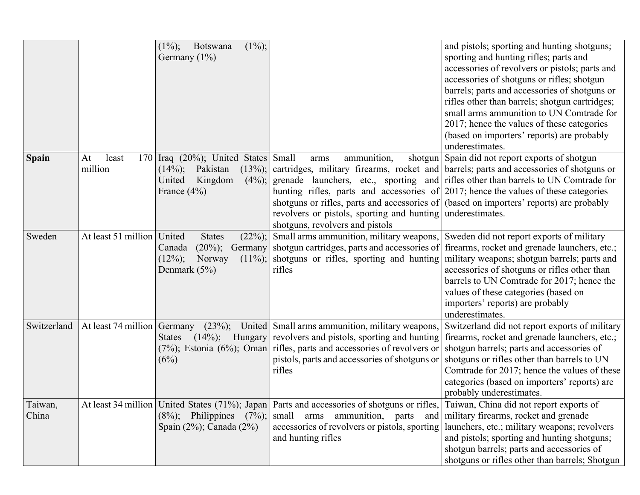|                  |                               | $(1\%)$ ;<br>$(1\%)$ ;<br>Botswana<br>Germany $(1\%)$                                                                      |                                                                                                                                                                                                                                                                                                           | and pistols; sporting and hunting shotguns;<br>sporting and hunting rifles; parts and<br>accessories of revolvers or pistols; parts and<br>accessories of shotguns or rifles; shotgun<br>barrels; parts and accessories of shotguns or<br>rifles other than barrels; shotgun cartridges;<br>small arms ammunition to UN Comtrade for<br>2017; hence the values of these categories<br>(based on importers' reports) are probably<br>underestimates. |
|------------------|-------------------------------|----------------------------------------------------------------------------------------------------------------------------|-----------------------------------------------------------------------------------------------------------------------------------------------------------------------------------------------------------------------------------------------------------------------------------------------------------|-----------------------------------------------------------------------------------------------------------------------------------------------------------------------------------------------------------------------------------------------------------------------------------------------------------------------------------------------------------------------------------------------------------------------------------------------------|
| <b>Spain</b>     | At<br>least<br>170<br>million | Iraq $(20\%)$ ; United States Small<br>$(14\%)$ ;<br>Pakistan<br>Kingdom<br>United<br>$(4\%)$ ;<br>France $(4\%)$          | ammunition,<br>arms<br>hunting rifles, parts and accessories of $2017$ ; hence the values of these categories<br>shotguns or rifles, parts and accessories of (based on importers' reports) are probably<br>revolvers or pistols, sporting and hunting underestimates.<br>shotguns, revolvers and pistols | shotgun Spain did not report exports of shotgun<br>$(13\%)$ ; cartridges, military firearms, rocket and barrels; parts and accessories of shotguns or<br>grenade launchers, etc., sporting and rifles other than barrels to UN Comtrade for                                                                                                                                                                                                         |
| Sweden           | At least 51 million           | United<br><b>States</b><br>$(20\%)$ ;<br><b>Germany</b><br>Canada<br>$(12\%)$ ;<br>Norway<br>$(11\%)$ ;<br>Denmark $(5\%)$ | $(22\%)$ ; Small arms ammunition, military weapons,<br>shotgun cartridges, parts and accessories of<br>shotguns or rifles, sporting and hunting<br>rifles                                                                                                                                                 | Sweden did not report exports of military<br>firearms, rocket and grenade launchers, etc.;<br>military weapons; shotgun barrels; parts and<br>accessories of shotguns or rifles other than<br>barrels to UN Comtrade for 2017; hence the<br>values of these categories (based on<br>importers' reports) are probably<br>underestimates.                                                                                                             |
| Switzerland      | At least 74 million           | $(23\%)$ ;<br>Germany<br><b>States</b><br>(6%)                                                                             | United Small arms ammunition, military weapons,<br>$(14\%)$ ; Hungary revolvers and pistols, sporting and hunting<br>$(7\%)$ ; Estonia $(6\%)$ ; Oman rifles, parts and accessories of revolvers or<br>pistols, parts and accessories of shotguns or<br>rifles                                            | Switzerland did not report exports of military<br>firearms, rocket and grenade launchers, etc.;<br>shotgun barrels; parts and accessories of<br>shotguns or rifles other than barrels to UN<br>Comtrade for 2017; hence the values of these<br>categories (based on importers' reports) are<br>probably underestimates.                                                                                                                             |
| Taiwan,<br>China |                               | Spain $(2\%)$ ; Canada $(2\%)$                                                                                             | At least 34 million   United States (71%); Japan   Parts and accessories of shotguns or rifles,   Taiwan, China did not report exports of<br>$(8\%)$ ; Philippines $(7\%)$ ; small arms ammunition, parts<br>accessories of revolvers or pistols, sporting<br>and hunting rifles                          | and   military firearms, rocket and grenade<br>launchers, etc.; military weapons; revolvers<br>and pistols; sporting and hunting shotguns;<br>shotgun barrels; parts and accessories of<br>shotguns or rifles other than barrels; Shotgun                                                                                                                                                                                                           |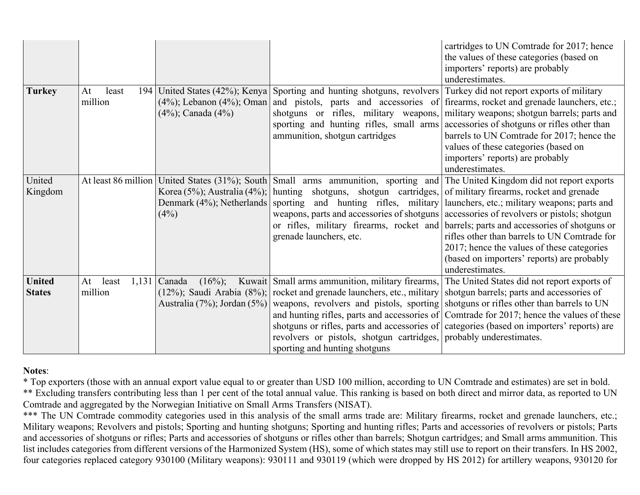|                                |                                 |                          |                                                                                                                                                                                                                                                                                                                                                               | cartridges to UN Comtrade for 2017; hence<br>the values of these categories (based on<br>importers' reports) are probably<br>underestimates.                                                                                                                                                                                                                                                                                                                                                                                                             |
|--------------------------------|---------------------------------|--------------------------|---------------------------------------------------------------------------------------------------------------------------------------------------------------------------------------------------------------------------------------------------------------------------------------------------------------------------------------------------------------|----------------------------------------------------------------------------------------------------------------------------------------------------------------------------------------------------------------------------------------------------------------------------------------------------------------------------------------------------------------------------------------------------------------------------------------------------------------------------------------------------------------------------------------------------------|
| <b>Turkey</b>                  | At<br>least<br>194<br>million   | $(4\%)$ ; Canada $(4\%)$ | United States (42%); Kenya Sporting and hunting shotguns, revolvers<br>$(4\%)$ ; Lebanon $(4\%)$ ; Oman and pistols, parts and accessories of<br>shotguns or rifles, military weapons,<br>sporting and hunting rifles, small arms<br>ammunition, shotgun cartridges                                                                                           | Turkey did not report exports of military<br>firearms, rocket and grenade launchers, etc.;<br>military weapons; shotgun barrels; parts and<br>accessories of shotguns or rifles other than<br>barrels to UN Comtrade for 2017; hence the<br>values of these categories (based on<br>importers' reports) are probably<br>underestimates.                                                                                                                                                                                                                  |
| United<br>Kingdom              | At least 86 million             | (4%)                     | Korea (5%); Australia (4%); hunting shotguns, shotgun cartridges,<br>Denmark (4%); Netherlands sporting and hunting rifles, military<br>grenade launchers, etc.                                                                                                                                                                                               | United States (31%); South Small arms ammunition, sporting and The United Kingdom did not report exports<br>of military firearms, rocket and grenade<br>launchers, etc.; military weapons; parts and<br>weapons, parts and accessories of shotguns accessories of revolvers or pistols; shotgun<br>or rifles, military firearms, rocket and barrels; parts and accessories of shotguns or<br>rifles other than barrels to UN Comtrade for<br>2017; hence the values of these categories<br>(based on importers' reports) are probably<br>underestimates. |
| <b>United</b><br><b>States</b> | least<br>At<br>1,131<br>million | Canada<br>$(16\%)$ ;     | Kuwait Small arms ammunition, military firearms,<br>$(12\%)$ ; Saudi Arabia $(8\%)$ ; rocket and grenade launchers, etc., military<br>Australia (7%); Jordan (5%) weapons, revolvers and pistols, sporting shotguns or rifles other than barrels to UN<br>revolvers or pistols, shotgun cartridges, probably underestimates.<br>sporting and hunting shotguns | The United States did not report exports of<br>shotgun barrels; parts and accessories of<br>and hunting rifles, parts and accessories of Comtrade for 2017; hence the values of these<br>shotguns or rifles, parts and accessories of categories (based on importers' reports) are                                                                                                                                                                                                                                                                       |

### **Notes**:

\* Top exporters (those with an annual export value equal to or greater than USD 100 million, according to UN Comtrade and estimates) are set in bold. \*\* Excluding transfers contributing less than 1 per cent of the total annual value. This ranking is based on both direct and mirror data, as reported to UN Comtrade and aggregated by the Norwegian Initiative on Small Arms Transfers (NISAT).

\*\*\* The UN Comtrade commodity categories used in this analysis of the small arms trade are: Military firearms, rocket and grenade launchers, etc.; Military weapons; Revolvers and pistols; Sporting and hunting shotguns; Sporting and hunting rifles; Parts and accessories of revolvers or pistols; Parts and accessories of shotguns or rifles; Parts and accessories of shotguns or rifles other than barrels; Shotgun cartridges; and Small arms ammunition. This list includes categories from different versions of the Harmonized System (HS), some of which states may still use to report on their transfers. In HS 2002, four categories replaced category 930100 (Military weapons): 930111 and 930119 (which were dropped by HS 2012) for artillery weapons, 930120 for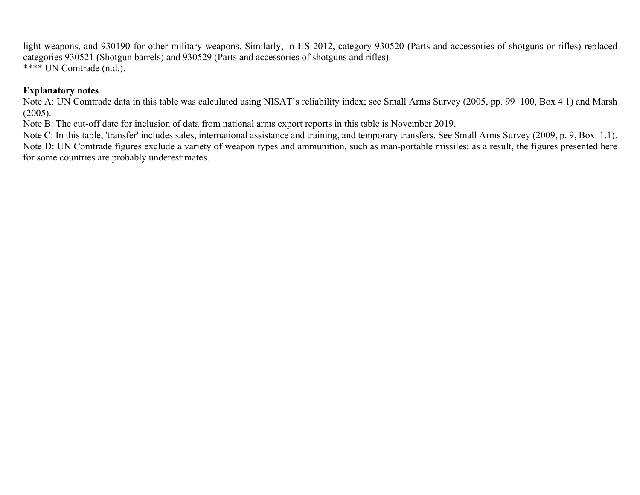light weapons, and 930190 for other military weapons. Similarly, in HS 2012, category 930520 (Parts and accessories of shotguns or rifles) replaced categories 930521 (Shotgun barrels) and 930529 (Parts and accessories of shotguns and rifles). \*\*\*\* UN Comtrade (n.d.).

#### **Explanatory notes**

Note A: UN Comtrade data in this table was calculated using NISAT's reliability index; see Small Arms Survey (2005, pp. 99–100, Box 4.1) and Marsh  $(2005)$ .

Note B: The cut-off date for inclusion of data from national arms export reports in this table is November 2019.

Note C: In this table, 'transfer' includes sales, international assistance and training, and temporary transfers. See Small Arms Survey (2009, p. 9, Box. 1.1). Note D: UN Comtrade figures exclude a variety of weapon types and ammunition, such as man-portable missiles; as a result, the figures presented here for some countries are probably underestimates.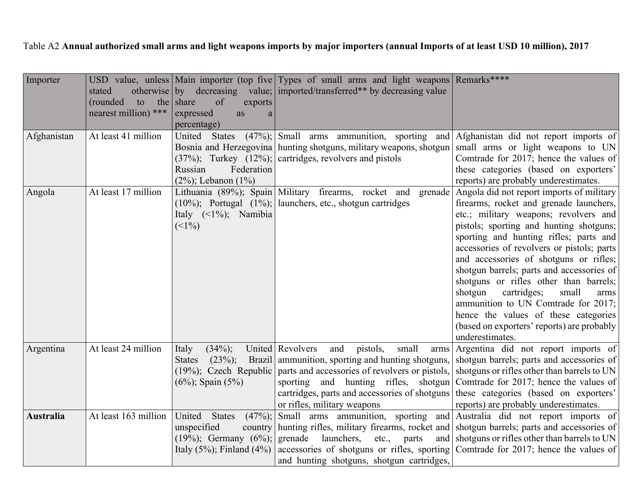Table A2 **Annual authorized small arms and light weapons imports by major importers (annual Imports of at least USD 10 million), 2017**

| Importer         | stated               |                                      | USD value, unless Main importer (top five Types of small arms and light weapons Remarks****<br>otherwise by decreasing value; imported/transferred** by decreasing value |                                                               |
|------------------|----------------------|--------------------------------------|--------------------------------------------------------------------------------------------------------------------------------------------------------------------------|---------------------------------------------------------------|
|                  | (rounded)<br>to      | the share<br>of<br>exports           |                                                                                                                                                                          |                                                               |
|                  | nearest million) *** | expressed<br>as<br>a                 |                                                                                                                                                                          |                                                               |
|                  |                      | percentage)                          |                                                                                                                                                                          |                                                               |
| Afghanistan      | At least 41 million  |                                      | United States (47%); Small arms ammunition, sporting and Afghanistan did not report imports of                                                                           |                                                               |
|                  |                      |                                      | Bosnia and Herzegovina hunting shotguns, military weapons, shotgun small arms or light weapons to UN                                                                     |                                                               |
|                  |                      |                                      | $(37\%)$ ; Turkey $(12\%)$ ; cartridges, revolvers and pistols                                                                                                           | Comtrade for 2017; hence the values of                        |
|                  |                      | Russian<br>Federation                |                                                                                                                                                                          | these categories (based on exporters'                         |
|                  |                      | $(2\%)$ ; Lebanon $(1\%)$            |                                                                                                                                                                          | reports) are probably underestimates.                         |
| Angola           | At least 17 million  |                                      | Lithuania (89%); Spain Military firearms, rocket and                                                                                                                     | grenade   Angola did not report imports of military           |
|                  |                      |                                      | $(10\%)$ ; Portugal $(1\%)$ ; launchers, etc., shotgun cartridges                                                                                                        | firearms, rocket and grenade launchers,                       |
|                  |                      | Italy $(\leq 1\%)$ ; Namibia         |                                                                                                                                                                          | etc.; military weapons; revolvers and                         |
|                  |                      | (<1%)                                |                                                                                                                                                                          | pistols; sporting and hunting shotguns;                       |
|                  |                      |                                      |                                                                                                                                                                          | sporting and hunting rifles; parts and                        |
|                  |                      |                                      |                                                                                                                                                                          | accessories of revolvers or pistols; parts                    |
|                  |                      |                                      |                                                                                                                                                                          | and accessories of shotguns or rifles;                        |
|                  |                      |                                      |                                                                                                                                                                          | shotgun barrels; parts and accessories of                     |
|                  |                      |                                      |                                                                                                                                                                          | shotguns or rifles other than barrels;                        |
|                  |                      |                                      |                                                                                                                                                                          | shotgun<br>cartridges;<br>small<br>arms                       |
|                  |                      |                                      |                                                                                                                                                                          | ammunition to UN Comtrade for 2017;                           |
|                  |                      |                                      |                                                                                                                                                                          | hence the values of these categories                          |
|                  |                      |                                      |                                                                                                                                                                          | (based on exporters' reports) are probably<br>underestimates. |
| Argentina        | At least 24 million  | $(34\%)$ ;<br>Italy                  | United Revolvers<br>pistols,<br>small<br>and                                                                                                                             | arms Argentina did not report imports of                      |
|                  |                      | $(23\%)$ ;<br><b>States</b>          | Brazil ammunition, sporting and hunting shotguns, shotgun barrels; parts and accessories of                                                                              |                                                               |
|                  |                      |                                      | $(19\%)$ ; Czech Republic parts and accessories of revolvers or pistols, shotguns or rifles other than barrels to UN                                                     |                                                               |
|                  |                      | $(6\%)$ ; Spain $(5\%)$              | sporting and hunting rifles, shotgun Comtrade for 2017; hence the values of                                                                                              |                                                               |
|                  |                      |                                      | cartridges, parts and accessories of shotguns these categories (based on exporters'                                                                                      |                                                               |
|                  |                      |                                      | or rifles, military weapons                                                                                                                                              | reports) are probably underestimates.                         |
| <b>Australia</b> | At least 163 million | United States<br>$(47\%)$ ;          | Small arms ammunition, sporting and Australia did not report imports of                                                                                                  |                                                               |
|                  |                      | unspecified<br>country               | hunting rifles, military firearms, rocket and shotgun barrels; parts and accessories of                                                                                  |                                                               |
|                  |                      | $(19\%)$ ; Germany $(6\%)$ ; grenade | launchers,<br>etc.,<br>parts                                                                                                                                             | and shotguns or rifles other than barrels to UN               |
|                  |                      | Italy $(5\%)$ ; Finland $(4\%)$      | accessories of shotguns or rifles, sporting Comtrade for 2017; hence the values of                                                                                       |                                                               |
|                  |                      |                                      | and hunting shotguns, shotgun cartridges,                                                                                                                                |                                                               |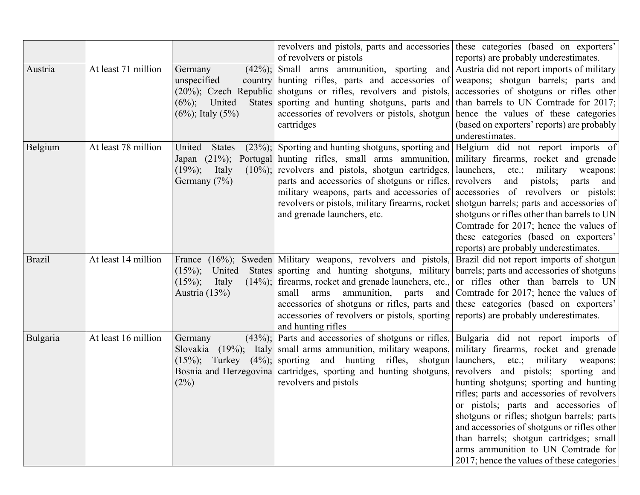|               |                     |                                      | revolvers and pistols, parts and accessories these categories (based on exporters'                           |                                                                                      |
|---------------|---------------------|--------------------------------------|--------------------------------------------------------------------------------------------------------------|--------------------------------------------------------------------------------------|
|               |                     |                                      | of revolvers or pistols                                                                                      | reports) are probably underestimates.                                                |
| Austria       | At least 71 million | Germany<br>$(42\%)$ ;                | Small arms ammunition, sporting and Austria did not report imports of military                               |                                                                                      |
|               |                     | unspecified                          | country hunting rifles, parts and accessories of weapons; shotgun barrels; parts and                         |                                                                                      |
|               |                     |                                      | $(20\%)$ ; Czech Republic shotguns or rifles, revolvers and pistols, accessories of shotguns or rifles other |                                                                                      |
|               |                     | United<br><b>States</b><br>$(6\%)$ ; | sporting and hunting shotguns, parts and than barrels to UN Comtrade for 2017;                               |                                                                                      |
|               |                     | $(6\%)$ ; Italy $(5\%)$              | accessories of revolvers or pistols, shotgun hence the values of these categories<br>cartridges              | (based on exporters' reports) are probably                                           |
|               |                     |                                      |                                                                                                              | underestimates.                                                                      |
| Belgium       | At least 78 million | <b>States</b><br>United              | $(23\%)$ ; Sporting and hunting shotguns, sporting and Belgium did not report imports of                     |                                                                                      |
|               |                     |                                      | Japan (21%); Portugal hunting rifles, small arms ammunition, military firearms, rocket and grenade           |                                                                                      |
|               |                     | $(19\%)$ ; Italy                     | $(10\%)$ ; revolvers and pistols, shotgun cartridges, launchers,                                             | military<br>$etc.$ ;<br>weapons;                                                     |
|               |                     | Germany (7%)                         | parts and accessories of shotguns or rifles, revolvers                                                       | and<br>pistols;<br>parts<br>and                                                      |
|               |                     |                                      | military weapons, parts and accessories of accessories of revolvers or pistols;                              |                                                                                      |
|               |                     |                                      | revolvers or pistols, military firearms, rocket shotgun barrels; parts and accessories of                    |                                                                                      |
|               |                     |                                      | and grenade launchers, etc.                                                                                  | shotguns or rifles other than barrels to UN                                          |
|               |                     |                                      |                                                                                                              | Comtrade for 2017; hence the values of                                               |
|               |                     |                                      |                                                                                                              | these categories (based on exporters'                                                |
|               |                     |                                      |                                                                                                              | reports) are probably underestimates.                                                |
| <b>Brazil</b> | At least 14 million |                                      | France (16%); Sweden Military weapons, revolvers and pistols, Brazil did not report imports of shotgun       |                                                                                      |
|               |                     | $(15\%)$ ;<br>United                 | States sporting and hunting shotguns, military barrels; parts and accessories of shotguns                    |                                                                                      |
|               |                     | $(15\%)$ ;<br>Italy                  | $(14\%)$ ; firearms, rocket and grenade launchers, etc., or rifles other than barrels to UN                  |                                                                                      |
|               |                     | Austria $(13\%)$                     | small<br>ammunition, parts<br>arms                                                                           | and Comtrade for 2017; hence the values of                                           |
|               |                     |                                      | accessories of shotguns or rifles, parts and these categories (based on exporters'                           |                                                                                      |
|               |                     |                                      | accessories of revolvers or pistols, sporting reports) are probably underestimates.                          |                                                                                      |
|               |                     |                                      | and hunting rifles                                                                                           |                                                                                      |
| Bulgaria      | At least 16 million | Germany                              | $(43\%)$ ; Parts and accessories of shotguns or rifles, Bulgaria did not report imports of                   |                                                                                      |
|               |                     |                                      | Slovakia (19%); Italy small arms ammunition, military weapons, military firearms, rocket and grenade         |                                                                                      |
|               |                     |                                      | $(15\%)$ ; Turkey $(4\%)$ ; sporting and hunting rifles, shotgun aunchers,                                   | military<br>$etc.$ ;<br>weapons;                                                     |
|               |                     |                                      | Bosnia and Herzegovina cartridges, sporting and hunting shotguns, revolvers and pistols; sporting and        |                                                                                      |
|               |                     | (2%)                                 | revolvers and pistols                                                                                        | hunting shotguns; sporting and hunting<br>rifles; parts and accessories of revolvers |
|               |                     |                                      |                                                                                                              | or pistols; parts and accessories of                                                 |
|               |                     |                                      |                                                                                                              | shotguns or rifles; shotgun barrels; parts                                           |
|               |                     |                                      |                                                                                                              | and accessories of shotguns or rifles other                                          |
|               |                     |                                      |                                                                                                              | than barrels; shotgun cartridges; small                                              |
|               |                     |                                      |                                                                                                              | arms ammunition to UN Comtrade for                                                   |
|               |                     |                                      |                                                                                                              | 2017; hence the values of these categories                                           |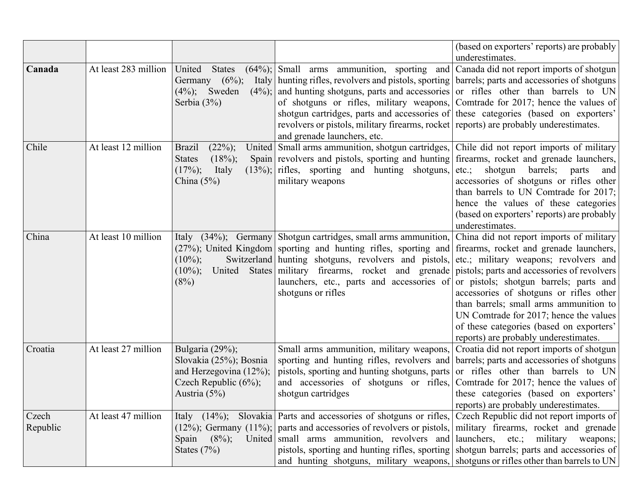|                   |                      |                                                                                                                        |                                                                                                                                                                                                                                                                                                                                                                                                                                                                                                                                                                                     | (based on exporters' reports) are probably<br>underestimates.                                                                                                                                                                    |
|-------------------|----------------------|------------------------------------------------------------------------------------------------------------------------|-------------------------------------------------------------------------------------------------------------------------------------------------------------------------------------------------------------------------------------------------------------------------------------------------------------------------------------------------------------------------------------------------------------------------------------------------------------------------------------------------------------------------------------------------------------------------------------|----------------------------------------------------------------------------------------------------------------------------------------------------------------------------------------------------------------------------------|
| Canada            | At least 283 million | United<br><b>States</b><br>$(6\%)$ ;<br>Italy<br>Germany<br>$(4\%)$ ;<br>Sweden<br>Serbia (3%)                         | $(64%)$ ; Small arms ammunition, sporting and Canada did not report imports of shotgun<br>hunting rifles, revolvers and pistols, sporting   barrels; parts and accessories of shotguns<br>$(4\%)$ ; and hunting shotguns, parts and accessories or rifles other than barrels to UN<br>of shotguns or rifles, military weapons, Comtrade for 2017; hence the values of<br>shotgun cartridges, parts and accessories of these categories (based on exporters'<br>revolvers or pistols, military firearms, rocket reports) are probably underestimates.<br>and grenade launchers, etc. |                                                                                                                                                                                                                                  |
| Chile             | At least 12 million  | <b>Brazil</b><br>$(22\%)$ ;<br>$(18\%)$ ;<br><b>States</b><br>$(17\%)$ ;<br>Italy<br>China $(5%)$                      | United Small arms ammunition, shotgun cartridges, Chile did not report imports of military<br>Spain revolvers and pistols, sporting and hunting firearms, rocket and grenade launchers,<br>$(13\%)$ ; rifles, sporting and hunting shotguns, etc.;<br>military weapons                                                                                                                                                                                                                                                                                                              | shotgun<br>barrels;<br>parts<br>and<br>accessories of shotguns or rifles other<br>than barrels to UN Comtrade for 2017;<br>hence the values of these categories<br>(based on exporters' reports) are probably<br>underestimates. |
| China             | At least 10 million  | Italy<br>$(10\%)$ ;<br>$(10\%)$ ;<br>(8%)                                                                              | $(34\%)$ ; Germany Shotgun cartridges, small arms ammunition, China did not report imports of military<br>(27%); United Kingdom sporting and hunting rifles, sporting and firearms, rocket and grenade launchers,<br>Switzerland hunting shotguns, revolvers and pistols, etc.; military weapons; revolvers and<br>United States military firearms, rocket and grenade pistols; parts and accessories of revolvers<br>launchers, etc., parts and accessories of or pistols; shotgun barrels; parts and<br>shotguns or rifles                                                        | accessories of shotguns or rifles other<br>than barrels; small arms ammunition to<br>UN Comtrade for 2017; hence the values<br>of these categories (based on exporters'<br>reports) are probably underestimates.                 |
| Croatia           | At least 27 million  | Bulgaria (29%);<br>Slovakia (25%); Bosnia<br>and Herzegovina $(12\%)$ ;<br>Czech Republic $(6\%)$ ;<br>Austria $(5\%)$ | Small arms ammunition, military weapons,<br>sporting and hunting rifles, revolvers and barrels; parts and accessories of shotguns<br>pistols, sporting and hunting shotguns, parts or rifles other than barrels to UN<br>and accessories of shotguns or rifles, Comtrade for 2017; hence the values of<br>shotgun cartridges                                                                                                                                                                                                                                                        | Croatia did not report imports of shotgun<br>these categories (based on exporters'<br>reports) are probably underestimates.                                                                                                      |
| Czech<br>Republic | At least 47 million  | $(8\%)$ ;<br>Spain<br>States $(7%)$                                                                                    | Italy (14%); Slovakia Parts and accessories of shotguns or rifles, Czech Republic did not report imports of<br>$(12\%)$ ; Germany $(11\%)$ ; parts and accessories of revolvers or pistols, military firearms, rocket and grenade<br>United small arms ammunition, revolvers and launchers, etc.; military weapons;<br>pistols, sporting and hunting rifles, sporting shotgun barrels; parts and accessories of<br>and hunting shotguns, military weapons, shotguns or rifles other than barrels to UN                                                                              |                                                                                                                                                                                                                                  |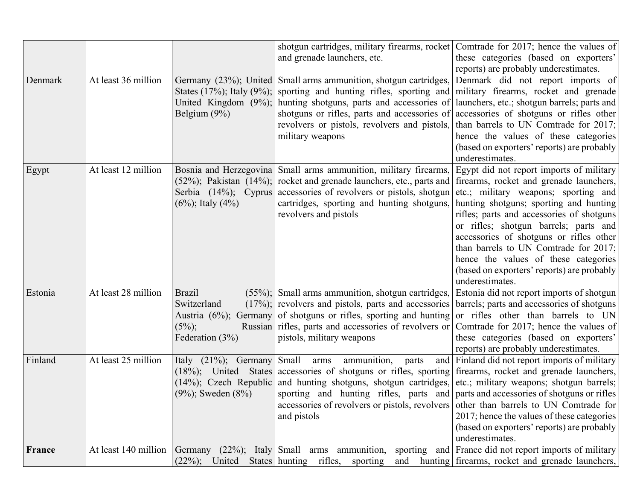|         |                      |                                                                | shotgun cartridges, military firearms, rocket Comtrade for 2017; hence the values of<br>and grenade launchers, etc.                                                                                                                                                                                                                                                                                                                             | these categories (based on exporters'<br>reports) are probably underestimates.                                                                                                                                                                                                                                                                                                                                                                           |
|---------|----------------------|----------------------------------------------------------------|-------------------------------------------------------------------------------------------------------------------------------------------------------------------------------------------------------------------------------------------------------------------------------------------------------------------------------------------------------------------------------------------------------------------------------------------------|----------------------------------------------------------------------------------------------------------------------------------------------------------------------------------------------------------------------------------------------------------------------------------------------------------------------------------------------------------------------------------------------------------------------------------------------------------|
| Denmark | At least 36 million  | Belgium (9%)                                                   | Germany (23%); United Small arms ammunition, shotgun cartridges,<br>States (17%); Italy (9%); sporting and hunting rifles, sporting and military firearms, rocket and grenade<br>United Kingdom $(9\%)$ ; hunting shotguns, parts and accessories of<br>shotguns or rifles, parts and accessories of<br>revolvers or pistols, revolvers and pistols,<br>military weapons                                                                        | Denmark did not report imports of<br>launchers, etc.; shotgun barrels; parts and<br>accessories of shotguns or rifles other<br>than barrels to UN Comtrade for 2017;<br>hence the values of these categories<br>(based on exporters' reports) are probably<br>underestimates.                                                                                                                                                                            |
| Egypt   | At least 12 million  | $(6\%)$ ; Italy $(4\%)$                                        | Bosnia and Herzegovina Small arms ammunition, military firearms,<br>$(52\%)$ ; Pakistan $(14\%)$ ; rocket and grenade launchers, etc., parts and<br>Serbia (14%); Cyprus accessories of revolvers or pistols, shotgun<br>cartridges, sporting and hunting shotguns,<br>revolvers and pistols                                                                                                                                                    | Egypt did not report imports of military<br>firearms, rocket and grenade launchers,<br>etc.; military weapons; sporting and<br>hunting shotguns; sporting and hunting<br>rifles; parts and accessories of shotguns<br>or rifles; shotgun barrels; parts and<br>accessories of shotguns or rifles other<br>than barrels to UN Comtrade for 2017;<br>hence the values of these categories<br>(based on exporters' reports) are probably<br>underestimates. |
| Estonia | At least 28 million  | <b>Brazil</b><br>Switzerland<br>$(5\%)$ ;<br>Federation $(3%)$ | $(55\%)$ ; Small arms ammunition, shotgun cartridges,<br>$(17\%)$ ; revolvers and pistols, parts and accessories barrels; parts and accessories of shotguns<br>Austria (6%); Germany of shotguns or rifles, sporting and hunting or rifles other than barrels to UN<br>Russian rifles, parts and accessories of revolvers or<br>pistols, military weapons                                                                                       | Estonia did not report imports of shotgun<br>Comtrade for 2017; hence the values of<br>these categories (based on exporters'<br>reports) are probably underestimates.                                                                                                                                                                                                                                                                                    |
| Finland | At least 25 million  | Italy $(21\%)$ ; Germany Small<br>$(9\%)$ ; Sweden $(8\%)$     | ammunition, parts<br>arms<br>(18%); United States accessories of shotguns or rifles, sporting firearms, rocket and grenade launchers,<br>(14%); Czech Republic and hunting shotguns, shotgun cartridges, etc.; military weapons; shotgun barrels;<br>sporting and hunting rifles, parts and parts and accessories of shotguns or rifles<br>accessories of revolvers or pistols, revolvers of the than barrels to UN Comtrade for<br>and pistols | and Finland did not report imports of military<br>2017; hence the values of these categories<br>(based on exporters' reports) are probably<br>underestimates.                                                                                                                                                                                                                                                                                            |
| France  | At least 140 million | $(22\%)$ ;<br>United                                           | Germany $(22\%)$ ; Italy Small arms ammunition, sporting and France did not report imports of military<br>States hunting rifles, sporting<br>and                                                                                                                                                                                                                                                                                                | hunting firearms, rocket and grenade launchers,                                                                                                                                                                                                                                                                                                                                                                                                          |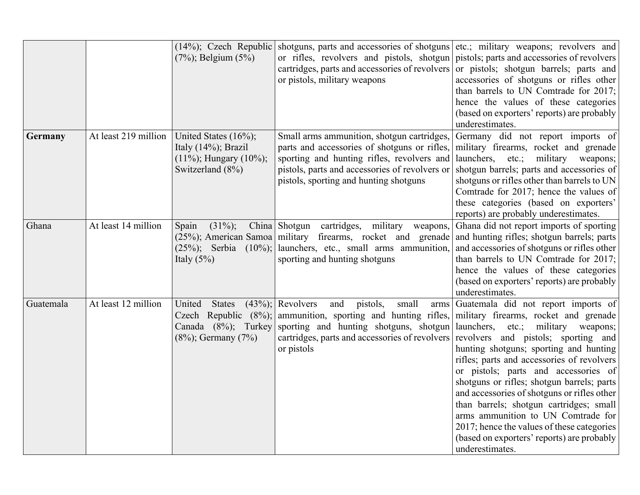|           |                      | $(7%)$ ; Belgium $(5%)$                                                                              | $(14\%)$ ; Czech Republic shotguns, parts and accessories of shotguns etc.; military weapons; revolvers and<br>or rifles, revolvers and pistols, shotgun pistols; parts and accessories of revolvers<br>cartridges, parts and accessories of revolvers or pistols; shotgun barrels; parts and<br>or pistols, military weapons            | accessories of shotguns or rifles other<br>than barrels to UN Comtrade for 2017;<br>hence the values of these categories<br>(based on exporters' reports) are probably<br>underestimates.                                                                                                                                                                                                                                                                             |
|-----------|----------------------|------------------------------------------------------------------------------------------------------|------------------------------------------------------------------------------------------------------------------------------------------------------------------------------------------------------------------------------------------------------------------------------------------------------------------------------------------|-----------------------------------------------------------------------------------------------------------------------------------------------------------------------------------------------------------------------------------------------------------------------------------------------------------------------------------------------------------------------------------------------------------------------------------------------------------------------|
| Germany   | At least 219 million | United States (16%);<br>Italy $(14\%)$ ; Brazil<br>$(11\%)$ ; Hungary $(10\%)$ ;<br>Switzerland (8%) | Small arms ammunition, shotgun cartridges,<br>parts and accessories of shotguns or rifles,<br>sporting and hunting rifles, revolvers and<br>pistols, parts and accessories of revolvers or<br>pistols, sporting and hunting shotguns                                                                                                     | Germany did not report imports of<br>military firearms, rocket and grenade<br>launchers, etc.; military weapons;<br>shotgun barrels; parts and accessories of<br>shotguns or rifles other than barrels to UN<br>Comtrade for 2017; hence the values of<br>these categories (based on exporters'<br>reports) are probably underestimates.                                                                                                                              |
| Ghana     | At least 14 million  | $(31\%)$ ;<br>Spain<br>Italy $(5%)$                                                                  | China Shotgun cartridges, military weapons,<br>(25%); American Samoa military firearms, rocket and grenade and hunting rifles; shotgun barrels; parts<br>$(25\%)$ ; Serbia $(10\%)$ ; launchers, etc., small arms ammunition,<br>sporting and hunting shotguns                                                                           | Ghana did not report imports of sporting<br>and accessories of shotguns or rifles other<br>than barrels to UN Comtrade for 2017;<br>hence the values of these categories<br>(based on exporters' reports) are probably<br>underestimates.                                                                                                                                                                                                                             |
| Guatemala | At least 12 million  | United<br><b>States</b><br>Canada (8%); Turkey<br>$(8\%)$ ; Germany $(7\%)$                          | $(43\%)$ ; Revolvers<br>and<br>pistols,<br>small<br>Czech Republic (8%); ammunition, sporting and hunting rifles, military firearms, rocket and grenade<br>sporting and hunting shotguns, shotgun launchers, etc.; military weapons;<br>cartridges, parts and accessories of revolvers revolvers and pistols; sporting and<br>or pistols | arms Guatemala did not report imports of<br>hunting shotguns; sporting and hunting<br>rifles; parts and accessories of revolvers<br>or pistols; parts and accessories of<br>shotguns or rifles; shotgun barrels; parts<br>and accessories of shotguns or rifles other<br>than barrels; shotgun cartridges; small<br>arms ammunition to UN Comtrade for<br>2017; hence the values of these categories<br>(based on exporters' reports) are probably<br>underestimates. |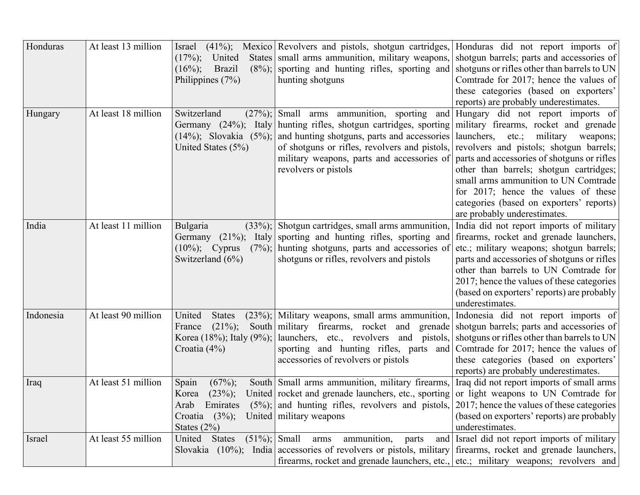| Honduras  | At least 13 million | $(17\%)$ ;<br>United<br><b>Brazil</b><br>$(8\%)$ ;<br>$(16\%)$ ;<br>Philippines $(7%)$                | Israel (41%); Mexico Revolvers and pistols, shotgun cartridges, Honduras did not report imports of<br>States small arms ammunition, military weapons, shotgun barrels; parts and accessories of<br>sporting and hunting rifles, sporting and<br>hunting shotguns                                                                                                                                              | shotguns or rifles other than barrels to UN<br>Comtrade for 2017; hence the values of<br>these categories (based on exporters'<br>reports) are probably underestimates.                                                                                                                                                                |
|-----------|---------------------|-------------------------------------------------------------------------------------------------------|---------------------------------------------------------------------------------------------------------------------------------------------------------------------------------------------------------------------------------------------------------------------------------------------------------------------------------------------------------------------------------------------------------------|----------------------------------------------------------------------------------------------------------------------------------------------------------------------------------------------------------------------------------------------------------------------------------------------------------------------------------------|
| Hungary   | At least 18 million | Switzerland<br>$(14\%)$ ; Slovakia $(5\%)$ ;<br>United States (5%)                                    | $(27\%)$ ; Small arms ammunition, sporting and Hungary did not report imports of<br>Germany (24%); Italy hunting rifles, shotgun cartridges, sporting military firearms, rocket and grenade<br>and hunting shotguns, parts and accessories<br>of shotguns or rifles, revolvers and pistols,<br>military weapons, parts and accessories of parts and accessories of shotguns or rifles<br>revolvers or pistols | launchers,<br>etc.;<br>military weapons;<br>revolvers and pistols; shotgun barrels;<br>other than barrels; shotgun cartridges;<br>small arms ammunition to UN Comtrade<br>for 2017; hence the values of these<br>categories (based on exporters' reports)<br>are probably underestimates.                                              |
| India     | At least 11 million | Bulgaria<br>Germany<br>$(10\%)$ ; Cyprus<br>Switzerland $(6\%)$                                       | $(33\%)$ ; Shotgun cartridges, small arms ammunition.<br>$(21\%)$ ; Italy sporting and hunting rifles, sporting and<br>$(7%)$ ; hunting shotguns, parts and accessories of<br>shotguns or rifles, revolvers and pistols                                                                                                                                                                                       | India did not report imports of military<br>firearms, rocket and grenade launchers,<br>etc.; military weapons; shotgun barrels;<br>parts and accessories of shotguns or rifles<br>other than barrels to UN Comtrade for<br>2017; hence the values of these categories<br>(based on exporters' reports) are probably<br>underestimates. |
| Indonesia | At least 90 million | United<br><b>States</b><br>$(21\%)$ ;<br>France<br>Croatia $(4\%)$                                    | $(23\%)$ ; Military weapons, small arms ammunition,<br>South military firearms, rocket and grenade shotgun barrels; parts and accessories of<br>Korea (18%); Italy (9%);   launchers, etc., revolvers and pistols,   shotguns or rifles other than barrels to UN<br>sporting and hunting rifles, parts and Comtrade for 2017; hence the values of<br>accessories of revolvers or pistols                      | Indonesia did not report imports of<br>these categories (based on exporters'<br>reports) are probably underestimates.                                                                                                                                                                                                                  |
| Iraq      | At least 51 million | Spain<br>$(67\%)$ ;<br>$(23\%)$ ;<br>Korea<br>Emirates<br>Arab<br>Croatia $(3\%)$ ;<br>States $(2\%)$ | South Small arms ammunition, military firearms, Iraq did not report imports of small arms<br>United rocket and grenade launchers, etc., sporting or light weapons to UN Comtrade for<br>$(5\%)$ ; and hunting rifles, revolvers and pistols, 2017; hence the values of these categories<br>United   military weapons                                                                                          | (based on exporters' reports) are probably<br>underestimates.                                                                                                                                                                                                                                                                          |
| Israel    | At least 55 million | $(51\%)$ ; Small<br>United<br><b>States</b>                                                           | ammunition,<br>parts<br>arms<br>Slovakia (10%); India accessories of revolvers or pistols, military firearms, rocket and grenade launchers,<br>firearms, rocket and grenade launchers, etc., etc.; military weapons; revolvers and                                                                                                                                                                            | and Israel did not report imports of military                                                                                                                                                                                                                                                                                          |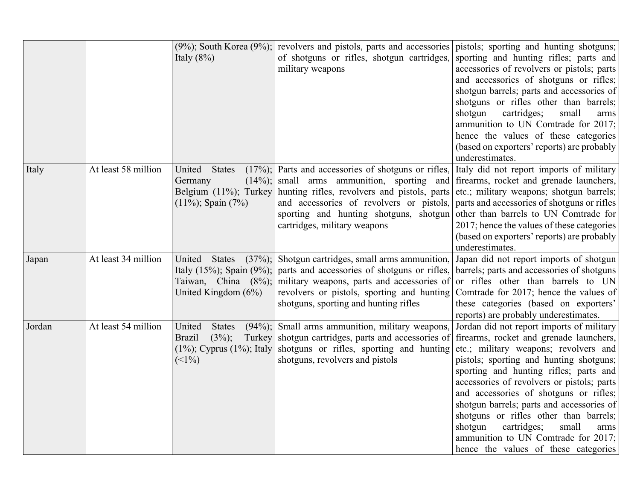|        |                     | Italy $(8\%)$                                                     | $(9\%)$ ; South Korea $(9\%)$ ; revolvers and pistols, parts and accessories pistols; sporting and hunting shotguns;<br>of shotguns or rifles, shotgun cartridges,<br>military weapons                                                                                                                                                       | sporting and hunting rifles; parts and<br>accessories of revolvers or pistols; parts<br>and accessories of shotguns or rifles;<br>shotgun barrels; parts and accessories of<br>shotguns or rifles other than barrels;<br>shotgun<br>cartridges;<br>small<br>arms<br>ammunition to UN Comtrade for 2017;<br>hence the values of these categories<br>(based on exporters' reports) are probably<br>underestimates.                                                                                                            |
|--------|---------------------|-------------------------------------------------------------------|----------------------------------------------------------------------------------------------------------------------------------------------------------------------------------------------------------------------------------------------------------------------------------------------------------------------------------------------|-----------------------------------------------------------------------------------------------------------------------------------------------------------------------------------------------------------------------------------------------------------------------------------------------------------------------------------------------------------------------------------------------------------------------------------------------------------------------------------------------------------------------------|
| Italy  | At least 58 million | United States<br>Germany<br>$(11\%)$ ; Spain $(7\%)$              | $(17%)$ ; Parts and accessories of shotguns or rifles,<br>$(14\%)$ ; small arms ammunition, sporting and firearms, rocket and grenade launchers,<br>Belgium (11%); Turkey hunting rifles, revolvers and pistols, parts<br>and accessories of revolvers or pistols,<br>sporting and hunting shotguns, shotgun<br>cartridges, military weapons | Italy did not report imports of military<br>etc.; military weapons; shotgun barrels;<br>parts and accessories of shotguns or rifles<br>other than barrels to UN Comtrade for<br>2017; hence the values of these categories<br>(based on exporters' reports) are probably<br>underestimates.                                                                                                                                                                                                                                 |
| Japan  | At least 34 million | United<br><b>States</b><br>United Kingdom $(6\%)$                 | $(37\%)$ ; Shotgun cartridges, small arms ammunition,<br>Italy (15%); Spain (9%); parts and accessories of shotguns or rifles,<br>Taiwan, China $(8\%)$ ; military weapons, parts and accessories of<br>revolvers or pistols, sporting and hunting<br>shotguns, sporting and hunting rifles                                                  | Japan did not report imports of shotgun<br>barrels; parts and accessories of shotguns<br>or rifles other than barrels to UN<br>Comtrade for 2017; hence the values of<br>these categories (based on exporters'<br>reports) are probably underestimates.                                                                                                                                                                                                                                                                     |
| Jordan | At least 54 million | United<br><b>States</b><br>$(3\%)$ ;<br><b>Brazil</b><br>$(<1\%)$ | $(94\%)$ ; Small arms ammunition, military weapons,<br>Turkey shotgun cartridges, parts and accessories of<br>$(1\%)$ ; Cyprus $(1\%)$ ; Italy shotguns or rifles, sporting and hunting<br>shotguns, revolvers and pistols                                                                                                                   | Jordan did not report imports of military<br>firearms, rocket and grenade launchers,<br>etc.; military weapons; revolvers and<br>pistols; sporting and hunting shotguns;<br>sporting and hunting rifles; parts and<br>accessories of revolvers or pistols; parts<br>and accessories of shotguns or rifles;<br>shotgun barrels; parts and accessories of<br>shotguns or rifles other than barrels;<br>shotgun<br>cartridges;<br>small<br>arms<br>ammunition to UN Comtrade for 2017;<br>hence the values of these categories |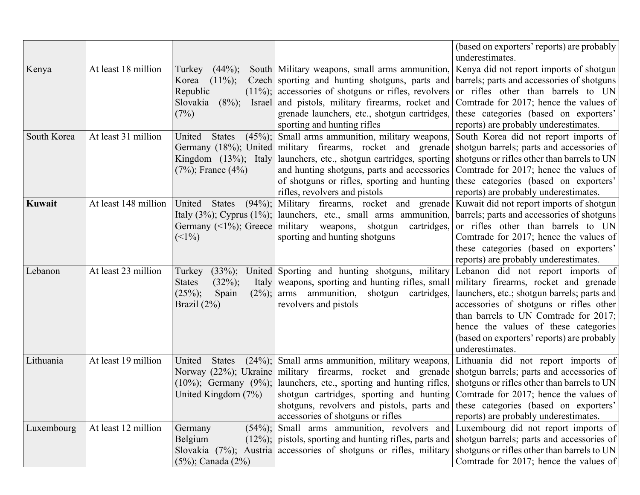|             |                      |                                                                                                                    |                                                                                                                                                                                                                                                                                                                                                                                                                                                                                                           | (based on exporters' reports) are probably                                                                                                                                                                                                                                                                             |
|-------------|----------------------|--------------------------------------------------------------------------------------------------------------------|-----------------------------------------------------------------------------------------------------------------------------------------------------------------------------------------------------------------------------------------------------------------------------------------------------------------------------------------------------------------------------------------------------------------------------------------------------------------------------------------------------------|------------------------------------------------------------------------------------------------------------------------------------------------------------------------------------------------------------------------------------------------------------------------------------------------------------------------|
| Kenya       | At least 18 million  | $(44\%)$ ;<br>Turkey<br>$(11\%)$ ;<br>Korea<br>Republic<br>Slovakia<br>$(8\%)$ ; Israel<br>(7%)                    | South Military weapons, small arms ammunition, Kenya did not report imports of shotgun<br>Czech sporting and hunting shotguns, parts and barrels; parts and accessories of shotguns<br>$(11\%)$ ; accessories of shotguns or rifles, revolvers or rifles other than barrels to UN<br>and pistols, military firearms, rocket and<br>grenade launchers, etc., shotgun cartridges, these categories (based on exporters'<br>sporting and hunting rifles                                                      | underestimates.<br>Comtrade for 2017; hence the values of<br>reports) are probably underestimates.                                                                                                                                                                                                                     |
| South Korea | At least 31 million  | United<br><b>States</b><br>Kingdom $(13\%)$ ; Italy<br>$(7\%)$ ; France $(4\%)$                                    | $(45\%)$ ; Small arms ammunition, military weapons, South Korea did not report imports of<br>Germany (18%); United military firearms, rocket and grenade shotgun barrels; parts and accessories of<br>launchers, etc., shotgun cartridges, sporting shotguns or rifles other than barrels to UN<br>and hunting shotguns, parts and accessories<br>of shotguns or rifles, sporting and hunting these categories (based on exporters'<br>rifles, revolvers and pistols                                      | Comtrade for 2017; hence the values of<br>reports) are probably underestimates.                                                                                                                                                                                                                                        |
| Kuwait      | At least 148 million | $(94\%)$ ;<br>United<br><b>States</b><br>$(1\%)$                                                                   | Military firearms, rocket and grenade Kuwait did not report imports of shotgun<br>Italy (3%); Cyprus (1%);   launchers, etc., small arms ammunition,   barrels; parts and accessories of shotguns<br>Germany $(\leq 1\%)$ ; Greece military weapons, shotgun<br>cartridges,<br>sporting and hunting shotguns                                                                                                                                                                                              | or rifles other than barrels to UN<br>Comtrade for 2017; hence the values of<br>these categories (based on exporters'<br>reports) are probably underestimates.                                                                                                                                                         |
| Lebanon     | At least 23 million  | Turkey<br>$(33\%)$ ;<br>$(32\%)$ ;<br><b>States</b><br>Italy<br>$(25\%)$ ;<br>Spain<br>$(2\%)$ ;<br>Brazil $(2\%)$ | United Sporting and hunting shotguns, military<br>weapons, sporting and hunting rifles, small<br>arms ammunition, shotgun cartridges,<br>revolvers and pistols                                                                                                                                                                                                                                                                                                                                            | Lebanon did not report imports of<br>military firearms, rocket and grenade<br>launchers, etc.; shotgun barrels; parts and<br>accessories of shotguns or rifles other<br>than barrels to UN Comtrade for 2017;<br>hence the values of these categories<br>(based on exporters' reports) are probably<br>underestimates. |
| Lithuania   | At least 19 million  | United<br><b>States</b><br>$(10\%)$ ; Germany $(9\%)$ ;<br>United Kingdom $(7%)$                                   | $(24\%)$ ; Small arms ammunition, military weapons, Lithuania did not report imports of<br>Norway (22%); Ukraine military firearms, rocket and grenade shotgun barrels; parts and accessories of<br>launchers, etc., sporting and hunting rifles, shotguns or rifles other than barrels to UN<br>shotgun cartridges, sporting and hunting Comtrade for 2017; hence the values of<br>shotguns, revolvers and pistols, parts and these categories (based on exporters'<br>accessories of shotguns or rifles | reports) are probably underestimates.                                                                                                                                                                                                                                                                                  |
| Luxembourg  | At least 12 million  | Germany<br>Belgium<br>$(5\%)$ ; Canada $(2\%)$                                                                     | $(54\%)$ ; Small arms ammunition, revolvers and Luxembourg did not report imports of<br>$(12\%)$ ; pistols, sporting and hunting rifles, parts and shotgun barrels; parts and accessories of<br>Slovakia $(7%)$ ; Austria accessories of shotguns or rifles, military                                                                                                                                                                                                                                     | shotguns or rifles other than barrels to UN<br>Comtrade for 2017; hence the values of                                                                                                                                                                                                                                  |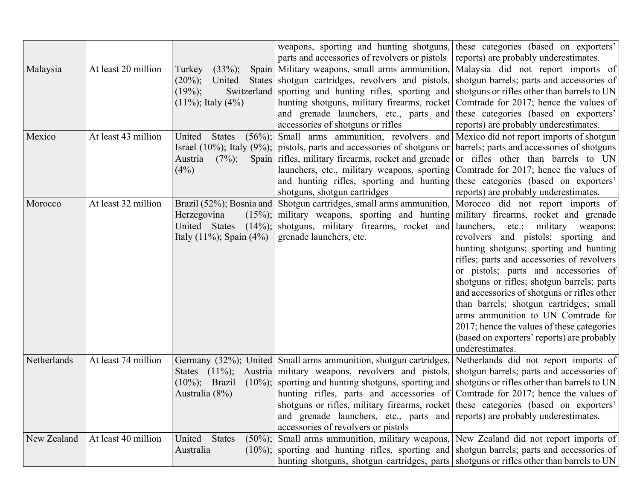|             |                     |                                | weapons, sporting and hunting shotguns, these categories (based on exporters'                                        |                                             |
|-------------|---------------------|--------------------------------|----------------------------------------------------------------------------------------------------------------------|---------------------------------------------|
|             |                     |                                | parts and accessories of revolvers or pistols                                                                        | reports) are probably underestimates.       |
| Malaysia    | At least 20 million | $(33\%)$ ;<br>Turkey           | Spain Military weapons, small arms ammunition,                                                                       | Malaysia did not report imports of          |
|             |                     | $(20\%)$ ;<br>United           | States shotgun cartridges, revolvers and pistols,                                                                    | shotgun barrels; parts and accessories of   |
|             |                     | $(19\%)$ ;                     | Switzerland sporting and hunting rifles, sporting and shotguns or rifles other than barrels to UN                    |                                             |
|             |                     | $(11\%)$ ; Italy $(4\%)$       | hunting shotguns, military firearms, rocket Comtrade for 2017; hence the values of                                   |                                             |
|             |                     |                                | and grenade launchers, etc., parts and these categories (based on exporters'                                         |                                             |
|             |                     |                                | accessories of shotguns or rifles                                                                                    | reports) are probably underestimates.       |
| Mexico      | At least 43 million | United<br><b>States</b>        | $(56\%)$ ; Small arms ammunition, revolvers and Mexico did not report imports of shotgun                             |                                             |
|             |                     |                                | Israel (10%); Italy (9%); pistols, parts and accessories of shotguns or barrels; parts and accessories of shotguns   |                                             |
|             |                     | $(7\%)$ ;<br>Austria           | Spain rifles, military firearms, rocket and grenade or rifles other than barrels to UN                               |                                             |
|             |                     | (4%)                           | launchers, etc., military weapons, sporting   Comtrade for 2017; hence the values of                                 |                                             |
|             |                     |                                | and hunting rifles, sporting and hunting these categories (based on exporters'                                       |                                             |
|             |                     |                                | shotguns, shotgun cartridges                                                                                         | reports) are probably underestimates.       |
| Morocco     | At least 32 million |                                | Brazil (52%); Bosnia and Shotgun cartridges, small arms ammunition, Morocco did not report imports of                |                                             |
|             |                     | Herzegovina                    | $(15\%)$ ; military weapons, sporting and hunting military firearms, rocket and grenade                              |                                             |
|             |                     | United States                  | $(14\%)$ ; shotguns, military firearms, rocket and launchers, etc.;                                                  | military<br>weapons;                        |
|             |                     | Italy $(11\%)$ ; Spain $(4\%)$ | grenade launchers, etc.                                                                                              | revolvers and pistols; sporting and         |
|             |                     |                                |                                                                                                                      | hunting shotguns; sporting and hunting      |
|             |                     |                                |                                                                                                                      | rifles; parts and accessories of revolvers  |
|             |                     |                                |                                                                                                                      | or pistols; parts and accessories of        |
|             |                     |                                |                                                                                                                      | shotguns or rifles; shotgun barrels; parts  |
|             |                     |                                |                                                                                                                      | and accessories of shotguns or rifles other |
|             |                     |                                |                                                                                                                      | than barrels; shotgun cartridges; small     |
|             |                     |                                |                                                                                                                      | arms ammunition to UN Comtrade for          |
|             |                     |                                |                                                                                                                      | 2017; hence the values of these categories  |
|             |                     |                                |                                                                                                                      | (based on exporters' reports) are probably  |
|             |                     |                                |                                                                                                                      | underestimates.                             |
| Netherlands | At least 74 million |                                | Germany (32%); United Small arms ammunition, shotgun cartridges,                                                     | Netherlands did not report imports of       |
|             |                     |                                | States (11%); Austria military weapons, revolvers and pistols,                                                       | shotgun barrels; parts and accessories of   |
|             |                     |                                | $(10\%)$ ; Brazil $(10\%)$ ; sporting and hunting shotguns, sporting and shotguns or rifles other than barrels to UN |                                             |
|             |                     | Australia (8%)                 | hunting rifles, parts and accessories of Comtrade for 2017; hence the values of                                      |                                             |
|             |                     |                                | shotguns or rifles, military firearms, rocket these categories (based on exporters                                   |                                             |
|             |                     |                                | and grenade launchers, etc., parts and reports) are probably underestimates.                                         |                                             |
|             |                     |                                | accessories of revolvers or pistols                                                                                  |                                             |
| New Zealand | At least 40 million | United<br><b>States</b>        | $(50\%)$ ; Small arms ammunition, military weapons, New Zealand did not report imports of                            |                                             |
|             |                     | Australia                      | $(10\%)$ ; sporting and hunting rifles, sporting and shotgun barrels; parts and accessories of                       |                                             |
|             |                     |                                | hunting shotguns, shotgun cartridges, parts shotguns or rifles other than barrels to UN                              |                                             |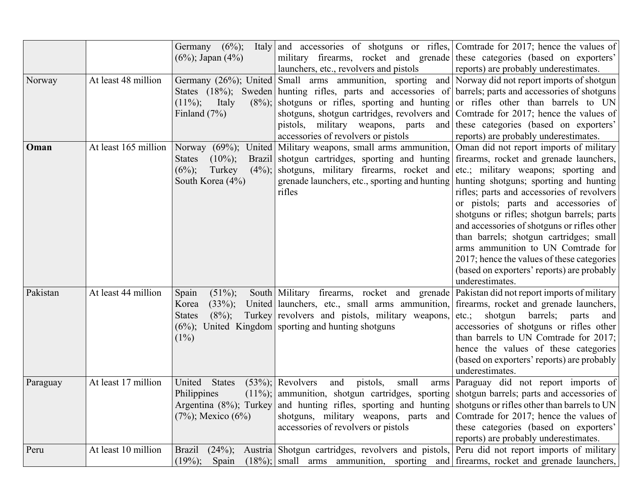|          |                      | Germany $(6\%)$ ;           | Italy and accessories of shotguns or rifles, Comtrade for 2017; hence the values of                         |                                             |
|----------|----------------------|-----------------------------|-------------------------------------------------------------------------------------------------------------|---------------------------------------------|
|          |                      | $(6\%)$ ; Japan $(4\%)$     | military firearms, rocket and grenade these categories (based on exporters'                                 |                                             |
|          |                      |                             | launchers, etc., revolvers and pistols                                                                      | reports) are probably underestimates.       |
| Norway   | At least 48 million  |                             | Germany (26%); United Small arms ammunition, sporting and Norway did not report imports of shotgun          |                                             |
|          |                      |                             | States (18%); Sweden hunting rifles, parts and accessories of barrels; parts and accessories of shotguns    |                                             |
|          |                      | $(11\%)$ ;<br>Italy         | $(8\%)$ ; shotguns or rifles, sporting and hunting or rifles other than barrels to UN                       |                                             |
|          |                      | Finland $(7%)$              | shotguns, shotgun cartridges, revolvers and Comtrade for 2017; hence the values of                          |                                             |
|          |                      |                             | pistols, military weapons, parts and these categories (based on exporters'                                  |                                             |
|          |                      |                             | accessories of revolvers or pistols                                                                         | reports) are probably underestimates.       |
| Oman     | At least 165 million |                             | Norway (69%); United Military weapons, small arms ammunition, Oman did not report imports of military       |                                             |
|          |                      | $(10\%)$ ;<br><b>States</b> | Brazil shotgun cartridges, sporting and hunting firearms, rocket and grenade launchers,                     |                                             |
|          |                      | $(6\%)$ ;<br>Turkey         | $(4\%)$ ; shotguns, military firearms, rocket and etc.; military weapons; sporting and                      |                                             |
|          |                      | South Korea (4%)            | grenade launchers, etc., sporting and hunting   hunting shotguns; sporting and hunting                      |                                             |
|          |                      |                             | rifles                                                                                                      | rifles; parts and accessories of revolvers  |
|          |                      |                             |                                                                                                             | or pistols; parts and accessories of        |
|          |                      |                             |                                                                                                             | shotguns or rifles; shotgun barrels; parts  |
|          |                      |                             |                                                                                                             | and accessories of shotguns or rifles other |
|          |                      |                             |                                                                                                             | than barrels; shotgun cartridges; small     |
|          |                      |                             |                                                                                                             | arms ammunition to UN Comtrade for          |
|          |                      |                             |                                                                                                             | 2017; hence the values of these categories  |
|          |                      |                             |                                                                                                             | (based on exporters' reports) are probably  |
|          |                      |                             |                                                                                                             | underestimates.                             |
| Pakistan | At least 44 million  | Spain<br>$(51\%)$ ;         | South Military firearms, rocket and grenade Pakistan did not report imports of military                     |                                             |
|          |                      | $(33\%)$ ;<br>Korea         | United launchers, etc., small arms ammunition,                                                              | firearms, rocket and grenade launchers,     |
|          |                      | $(8\%)$ ;<br><b>States</b>  | Turkey revolvers and pistols, military weapons,                                                             | etc.; shotgun barrels; parts<br>and         |
|          |                      | $(6\%)$ ;                   | United Kingdom sporting and hunting shotguns                                                                | accessories of shotguns or rifles other     |
|          |                      | $(1\%)$                     |                                                                                                             | than barrels to UN Comtrade for 2017;       |
|          |                      |                             |                                                                                                             | hence the values of these categories        |
|          |                      |                             |                                                                                                             | (based on exporters' reports) are probably  |
|          |                      |                             |                                                                                                             | underestimates.                             |
| Paraguay | At least 17 million  | United<br><b>States</b>     | $(53\%)$ ; Revolvers<br>pistols,<br>small<br>and                                                            | arms Paraguay did not report imports of     |
|          |                      | Philippines                 | $(11\%)$ ; ammunition, shotgun cartridges, sporting shotgun barrels; parts and accessories of               |                                             |
|          |                      |                             | Argentina (8%); Turkey and hunting rifles, sporting and hunting shotguns or rifles other than barrels to UN |                                             |
|          |                      | $(7\%)$ ; Mexico $(6\%)$    | shotguns, military weapons, parts and Comtrade for 2017; hence the values of                                |                                             |
|          |                      |                             | accessories of revolvers or pistols                                                                         | these categories (based on exporters'       |
|          |                      |                             |                                                                                                             | reports) are probably underestimates.       |
| Peru     | At least 10 million  |                             | Brazil (24%); Austria Shotgun cartridges, revolvers and pistols, Peru did not report imports of military    |                                             |
|          |                      | $(19\%)$ ; Spain            | $(18\%)$ ; small arms ammunition, sporting and firearms, rocket and grenade launchers,                      |                                             |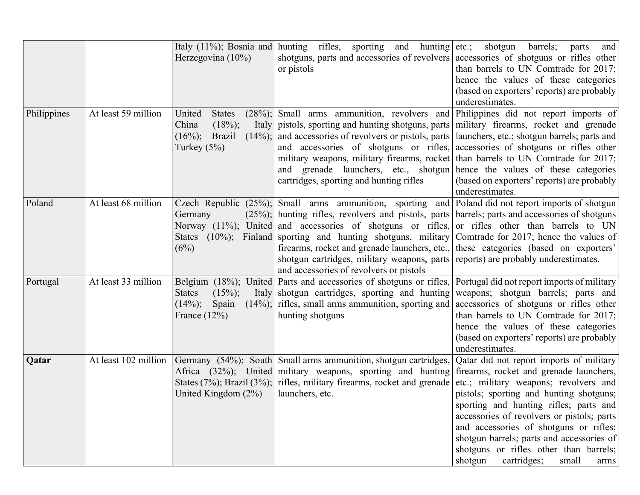|             |                     | Herzegovina $(10\%)$                                                                            | Italy (11%); Bosnia and hunting rifles, sporting and hunting etc.; shotgun<br>shotguns, parts and accessories of revolvers accessories of shotguns or rifles other<br>or pistols                                                                                                                                                                                                                                                                                                                                                                                                                                                                  | barrels;<br>parts<br>and<br>than barrels to UN Comtrade for $2017$ ;<br>hence the values of these categories<br>(based on exporters' reports) are probably<br>underestimates.                                                                                                                                                                           |
|-------------|---------------------|-------------------------------------------------------------------------------------------------|---------------------------------------------------------------------------------------------------------------------------------------------------------------------------------------------------------------------------------------------------------------------------------------------------------------------------------------------------------------------------------------------------------------------------------------------------------------------------------------------------------------------------------------------------------------------------------------------------------------------------------------------------|---------------------------------------------------------------------------------------------------------------------------------------------------------------------------------------------------------------------------------------------------------------------------------------------------------------------------------------------------------|
| Philippines | At least 59 million | United<br><b>States</b><br>$(18\%)$ ;<br>China<br>$(16\%)$ ;<br><b>Brazil</b><br>Turkey $(5\%)$ | $(28\%)$ ; Small arms ammunition, revolvers and Philippines did not report imports of<br>Italy pistols, sporting and hunting shotguns, parts military firearms, rocket and grenade<br>$(14\%)$ ; and accessories of revolvers or pistols, parts   launchers, etc.; shotgun barrels; parts and<br>and accessories of shotguns or rifles, accessories of shotguns or rifles other<br>military weapons, military firearms, rocket than barrels to UN Comtrade for 2017;<br>and grenade launchers, etc., shotgun hence the values of these categories<br>cartridges, sporting and hunting rifles                                                      | (based on exporters' reports) are probably<br>underestimates.                                                                                                                                                                                                                                                                                           |
| Poland      | At least 68 million | Germany<br>(6%)                                                                                 | Czech Republic $(25\%)$ ; Small arms ammunition, sporting and Poland did not report imports of shotgun<br>$(25\%)$ ; hunting rifles, revolvers and pistols, parts barrels; parts and accessories of shotguns<br>Norway $(11\%)$ ; United and accessories of shotguns or rifles, or rifles other than barrels to UN<br>States (10%); Finland sporting and hunting shotguns, military Comtrade for 2017; hence the values of<br>firearms, rocket and grenade launchers, etc., these categories (based on exporters'<br>shotgun cartridges, military weapons, parts reports) are probably underestimates.<br>and accessories of revolvers or pistols |                                                                                                                                                                                                                                                                                                                                                         |
| Portugal    | At least 33 million | $(15\%)$ ;<br><b>States</b><br>Spain<br>$(14\%)$ ;<br>France $(12\%)$                           | Belgium (18%); United Parts and accessories of shotguns or rifles, Portugal did not report imports of military<br>Italy shotgun cartridges, sporting and hunting weapons; shotgun barrels; parts and<br>$(14\%)$ ; rifles, small arms ammunition, sporting and accessories of shotguns or rifles other<br>hunting shotguns                                                                                                                                                                                                                                                                                                                        | than barrels to UN Comtrade for 2017;<br>hence the values of these categories<br>(based on exporters' reports) are probably<br>underestimates.                                                                                                                                                                                                          |
| Qatar       |                     | United Kingdom $(2\%)$                                                                          | At least 102 million Germany (54%); South Small arms ammunition, shotgun cartridges,<br>Africa (32%); United military weapons, sporting and hunting firearms, rocket and grenade launchers,<br>States (7%); Brazil (3%); rifles, military firearms, rocket and grenade etc.; military weapons; revolvers and<br>launchers, etc.                                                                                                                                                                                                                                                                                                                   | Qatar did not report imports of military<br>pistols; sporting and hunting shotguns;<br>sporting and hunting rifles; parts and<br>accessories of revolvers or pistols; parts<br>and accessories of shotguns or rifles;<br>shotgun barrels; parts and accessories of<br>shotguns or rifles other than barrels;<br>shotgun<br>cartridges;<br>small<br>arms |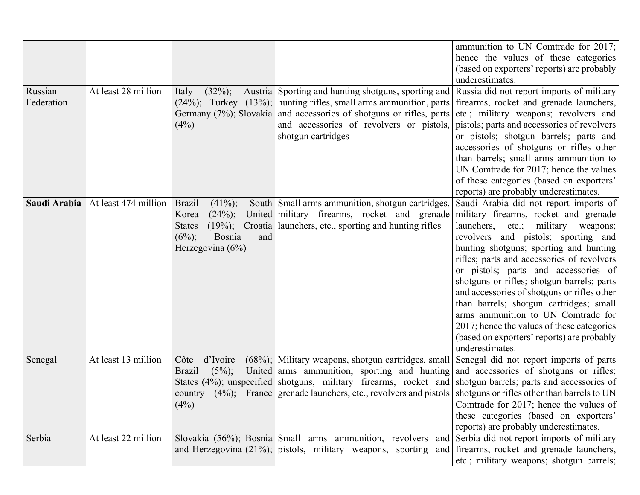|              |                      |                             |                                                                                                                     | ammunition to UN Comtrade for 2017;<br>hence the values of these categories |
|--------------|----------------------|-----------------------------|---------------------------------------------------------------------------------------------------------------------|-----------------------------------------------------------------------------|
|              |                      |                             |                                                                                                                     | (based on exporters' reports) are probably                                  |
|              |                      |                             |                                                                                                                     | underestimates.                                                             |
| Russian      | At least 28 million  | $(32\%)$ ;<br>Italy         | Austria Sporting and hunting shotguns, sporting and Russia did not report imports of military                       |                                                                             |
| Federation   |                      |                             | $(24\%)$ ; Turkey $(13\%)$ ; hunting rifles, small arms ammunition, parts firearms, rocket and grenade launchers,   |                                                                             |
|              |                      |                             | Germany $(7%)$ ; Slovakia and accessories of shotguns or rifles, parts etc.; military weapons; revolvers and        |                                                                             |
|              |                      | (4%)                        | and accessories of revolvers or pistols,                                                                            | pistols; parts and accessories of revolvers                                 |
|              |                      |                             | shotgun cartridges                                                                                                  | or pistols; shotgun barrels; parts and                                      |
|              |                      |                             |                                                                                                                     | accessories of shotguns or rifles other                                     |
|              |                      |                             |                                                                                                                     | than barrels; small arms ammunition to                                      |
|              |                      |                             |                                                                                                                     | UN Comtrade for 2017; hence the values                                      |
|              |                      |                             |                                                                                                                     | of these categories (based on exporters'                                    |
|              |                      |                             |                                                                                                                     | reports) are probably underestimates.                                       |
| Saudi Arabia | At least 474 million | $(41\%)$ ;<br><b>Brazil</b> | South   Small arms ammunition, shotgun cartridges,                                                                  | Saudi Arabia did not report imports of                                      |
|              |                      | $(24\%)$ ;<br>Korea         | United   military firearms, rocket and grenade                                                                      | military firearms, rocket and grenade                                       |
|              |                      | $(19\%)$ ;<br><b>States</b> | Croatia   launchers, etc., sporting and hunting rifles                                                              | $launchers$ , etc.;<br>military<br>weapons;                                 |
|              |                      | $(6\%)$ ;<br>Bosnia<br>and  |                                                                                                                     | revolvers and pistols; sporting and                                         |
|              |                      | Herzegovina $(6\%)$         |                                                                                                                     | hunting shotguns; sporting and hunting                                      |
|              |                      |                             |                                                                                                                     | rifles; parts and accessories of revolvers                                  |
|              |                      |                             |                                                                                                                     | or pistols; parts and accessories of                                        |
|              |                      |                             |                                                                                                                     | shotguns or rifles; shotgun barrels; parts                                  |
|              |                      |                             |                                                                                                                     | and accessories of shotguns or rifles other                                 |
|              |                      |                             |                                                                                                                     | than barrels; shotgun cartridges; small                                     |
|              |                      |                             |                                                                                                                     | arms ammunition to UN Comtrade for                                          |
|              |                      |                             |                                                                                                                     | 2017; hence the values of these categories                                  |
|              |                      |                             |                                                                                                                     | (based on exporters' reports) are probably                                  |
|              |                      |                             |                                                                                                                     | underestimates.                                                             |
| Senegal      | At least 13 million  | d'Ivoire<br>Côte            | $(68%)$ ; Military weapons, shotgun cartridges, small Senegal did not report imports of parts                       |                                                                             |
|              |                      | $(5\%)$ ;<br><b>Brazil</b>  | United arms ammunition, sporting and hunting and accessories of shotguns or rifles;                                 |                                                                             |
|              |                      |                             | States $(4\%)$ ; unspecified shotguns, military firearms, rocket and shotgun barrels; parts and accessories of      |                                                                             |
|              |                      |                             | country $(4\%)$ ; France grenade launchers, etc., revolvers and pistols shotguns or rifles other than barrels to UN |                                                                             |
|              |                      | (4%)                        |                                                                                                                     | Comtrade for 2017; hence the values of                                      |
|              |                      |                             |                                                                                                                     | these categories (based on exporters'                                       |
|              |                      |                             |                                                                                                                     | reports) are probably underestimates.                                       |
| Serbia       | At least 22 million  |                             | Slovakia (56%); Bosnia Small arms ammunition, revolvers                                                             | and Serbia did not report imports of military                               |
|              |                      |                             | and Herzegovina $(21\%)$ ; pistols, military weapons, sporting                                                      | and firearms, rocket and grenade launchers,                                 |
|              |                      |                             |                                                                                                                     | etc.; military weapons; shotgun barrels;                                    |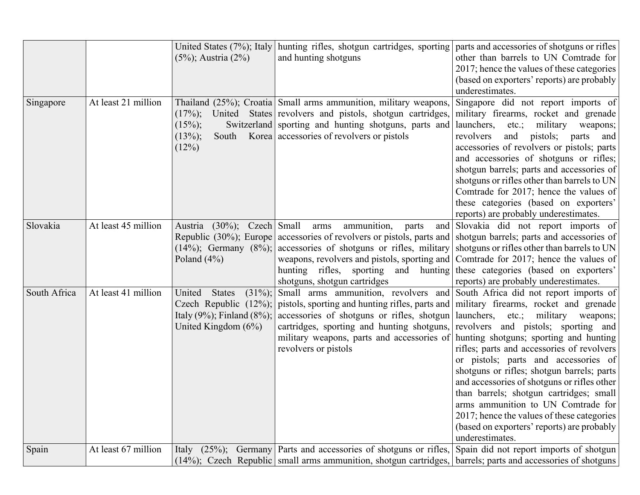|              |                     | United States (7%); Italy             | hunting rifles, shotgun cartridges, sporting   parts and accessories of shotguns or rifles                           |                                              |
|--------------|---------------------|---------------------------------------|----------------------------------------------------------------------------------------------------------------------|----------------------------------------------|
|              |                     | $(5\%)$ ; Austria $(2\%)$             | and hunting shotguns                                                                                                 | other than barrels to UN Comtrade for        |
|              |                     |                                       |                                                                                                                      | 2017; hence the values of these categories   |
|              |                     |                                       |                                                                                                                      | (based on exporters' reports) are probably   |
|              |                     |                                       |                                                                                                                      | underestimates.                              |
| Singapore    | At least 21 million |                                       | Thailand (25%); Croatia Small arms ammunition, military weapons,                                                     | Singapore did not report imports of          |
|              |                     | $(17\%)$ ;                            | United States revolvers and pistols, shotgun cartridges,                                                             | military firearms, rocket and grenade        |
|              |                     | $(15\%)$ ;                            | Switzerland sporting and hunting shotguns, parts and                                                                 | launchers, etc.; military weapons;           |
|              |                     | $(13\%)$ ;<br>South                   | Korea accessories of revolvers or pistols                                                                            | and<br>pistols;<br>revolvers<br>parts<br>and |
|              |                     | (12%)                                 |                                                                                                                      | accessories of revolvers or pistols; parts   |
|              |                     |                                       |                                                                                                                      | and accessories of shotguns or rifles;       |
|              |                     |                                       |                                                                                                                      | shotgun barrels; parts and accessories of    |
|              |                     |                                       |                                                                                                                      | shotguns or rifles other than barrels to UN  |
|              |                     |                                       |                                                                                                                      | Comtrade for 2017; hence the values of       |
|              |                     |                                       |                                                                                                                      | these categories (based on exporters'        |
|              |                     |                                       |                                                                                                                      | reports) are probably underestimates.        |
| Slovakia     | At least 45 million | Austria (30%); Czech Small            | ammunition, parts<br>arms                                                                                            | and Slovakia did not report imports of       |
|              |                     |                                       | Republic $(30\%)$ ; Europe accessories of revolvers or pistols, parts and shotgun barrels; parts and accessories of  |                                              |
|              |                     |                                       | $(14\%)$ ; Germany $(8\%)$ ; accessories of shotguns or rifles, military shotguns or rifles other than barrels to UN |                                              |
|              |                     | Poland $(4\%)$                        | weapons, revolvers and pistols, sporting and Comtrade for 2017; hence the values of                                  |                                              |
|              |                     |                                       | hunting rifles, sporting and hunting these categories (based on exporters'                                           |                                              |
|              |                     |                                       | shotguns, shotgun cartridges                                                                                         | reports) are probably underestimates.        |
| South Africa | At least 41 million | United<br><b>States</b><br>$(31\%)$ ; | Small arms ammunition, revolvers and South Africa did not report imports of                                          |                                              |
|              |                     |                                       | Czech Republic $(12\%)$ ; pistols, sporting and hunting rifles, parts and military firearms, rocket and grenade      |                                              |
|              |                     | Italy $(9\%)$ ; Finland $(8\%)$ ;     | accessories of shotguns or rifles, shotgun   launchers, etc.; military weapons;                                      |                                              |
|              |                     | United Kingdom $(6\%)$                | cartridges, sporting and hunting shotguns, revolvers and pistols; sporting and                                       |                                              |
|              |                     |                                       | military weapons, parts and accessories of hunting shotguns; sporting and hunting                                    |                                              |
|              |                     |                                       | revolvers or pistols                                                                                                 | rifles; parts and accessories of revolvers   |
|              |                     |                                       |                                                                                                                      | or pistols; parts and accessories of         |
|              |                     |                                       |                                                                                                                      | shotguns or rifles; shotgun barrels; parts   |
|              |                     |                                       |                                                                                                                      | and accessories of shotguns or rifles other  |
|              |                     |                                       |                                                                                                                      | than barrels; shotgun cartridges; small      |
|              |                     |                                       |                                                                                                                      | arms ammunition to UN Comtrade for           |
|              |                     |                                       |                                                                                                                      | 2017; hence the values of these categories   |
|              |                     |                                       |                                                                                                                      | (based on exporters' reports) are probably   |
|              |                     |                                       |                                                                                                                      | underestimates.                              |
| Spain        | At least 67 million | Italy $(25\%)$ ;                      | Germany Parts and accessories of shotguns or rifles,                                                                 | Spain did not report imports of shotgun      |
|              |                     |                                       | (14%); Czech Republic   small arms ammunition, shotgun cartridges,                                                   | barrels; parts and accessories of shotguns   |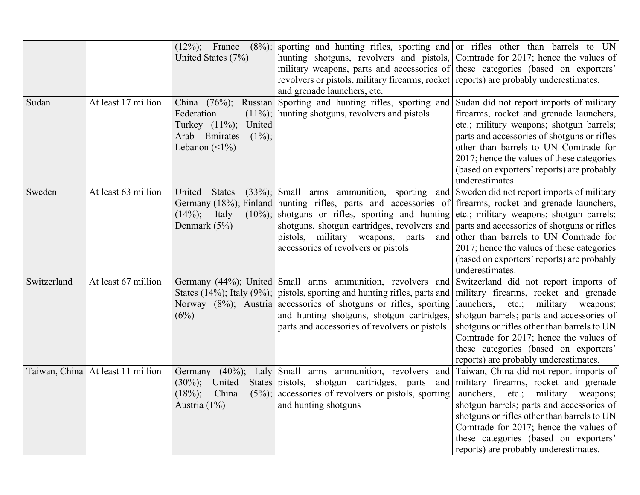|             |                                   |                                    | $(12\%)$ ; France $(8\%)$ ; sporting and hunting rifles, sporting and or rifles other than barrels to UN        |                                                                                     |
|-------------|-----------------------------------|------------------------------------|-----------------------------------------------------------------------------------------------------------------|-------------------------------------------------------------------------------------|
|             |                                   | United States (7%)                 | hunting shotguns, revolvers and pistols, Comtrade for 2017; hence the values of                                 |                                                                                     |
|             |                                   |                                    | military weapons, parts and accessories of these categories (based on exporters'                                |                                                                                     |
|             |                                   |                                    | revolvers or pistols, military firearms, rocket reports) are probably underestimates.                           |                                                                                     |
|             |                                   |                                    | and grenade launchers, etc.                                                                                     |                                                                                     |
| Sudan       | At least 17 million               | China $(76%)$ ;                    | Russian Sporting and hunting rifles, sporting and Sudan did not report imports of military                      |                                                                                     |
|             |                                   | Federation<br>Turkey (11%); United | $(11\%)$ ; hunting shotguns, revolvers and pistols                                                              | firearms, rocket and grenade launchers,<br>etc.; military weapons; shotgun barrels; |
|             |                                   | Arab Emirates<br>$(1\%)$ ;         |                                                                                                                 | parts and accessories of shotguns or rifles                                         |
|             |                                   | Lebanon $(\leq 1\%)$               |                                                                                                                 | other than barrels to UN Comtrade for                                               |
|             |                                   |                                    |                                                                                                                 | 2017; hence the values of these categories                                          |
|             |                                   |                                    |                                                                                                                 |                                                                                     |
|             |                                   |                                    |                                                                                                                 | (based on exporters' reports) are probably<br>underestimates.                       |
| Sweden      | At least 63 million               | United States                      | $(33\%)$ ; Small arms ammunition, sporting and Sweden did not report imports of military                        |                                                                                     |
|             |                                   |                                    | Germany (18%); Finland hunting rifles, parts and accessories of firearms, rocket and grenade launchers,         |                                                                                     |
|             |                                   | $(14\%)$ ; Italy                   | $(10\%)$ ; shotguns or rifles, sporting and hunting etc.; military weapons; shotgun barrels;                    |                                                                                     |
|             |                                   | Denmark (5%)                       | shotguns, shotgun cartridges, revolvers and parts and accessories of shotguns or rifles                         |                                                                                     |
|             |                                   |                                    | pistols, military weapons, parts                                                                                | and other than barrels to UN Comtrade for                                           |
|             |                                   |                                    | accessories of revolvers or pistols                                                                             | 2017; hence the values of these categories                                          |
|             |                                   |                                    |                                                                                                                 | (based on exporters' reports) are probably                                          |
|             |                                   |                                    |                                                                                                                 | underestimates.                                                                     |
| Switzerland | At least 67 million               |                                    | Germany (44%); United Small arms ammunition, revolvers and Switzerland did not report imports of                |                                                                                     |
|             |                                   |                                    | States (14%); Italy (9%); pistols, sporting and hunting rifles, parts and military firearms, rocket and grenade |                                                                                     |
|             |                                   |                                    | Norway (8%); Austria accessories of shotguns or rifles, sporting launchers, etc.; military weapons;             |                                                                                     |
|             |                                   | (6%)                               | and hunting shotguns, shotgun cartridges,                                                                       | shotgun barrels; parts and accessories of                                           |
|             |                                   |                                    | parts and accessories of revolvers or pistols                                                                   | shotguns or rifles other than barrels to UN                                         |
|             |                                   |                                    |                                                                                                                 | Comtrade for 2017; hence the values of                                              |
|             |                                   |                                    |                                                                                                                 | these categories (based on exporters'                                               |
|             |                                   |                                    |                                                                                                                 | reports) are probably underestimates.                                               |
|             | Taiwan, China At least 11 million |                                    | Germany (40%); Italy Small arms ammunition, revolvers and Taiwan, China did not report imports of               |                                                                                     |
|             |                                   | $(30\%)$ ; United                  | States pistols, shotgun cartridges, parts                                                                       | and military firearms, rocket and grenade                                           |
|             |                                   | $(18\%)$ ;<br>China                | $(5\%)$ ; accessories of revolvers or pistols, sporting launchers, etc.; military weapons;                      |                                                                                     |
|             |                                   | Austria $(1\%)$                    | and hunting shotguns                                                                                            | shotgun barrels; parts and accessories of                                           |
|             |                                   |                                    |                                                                                                                 | shotguns or rifles other than barrels to UN                                         |
|             |                                   |                                    |                                                                                                                 | Comtrade for 2017; hence the values of                                              |
|             |                                   |                                    |                                                                                                                 | these categories (based on exporters'                                               |
|             |                                   |                                    |                                                                                                                 | reports) are probably underestimates.                                               |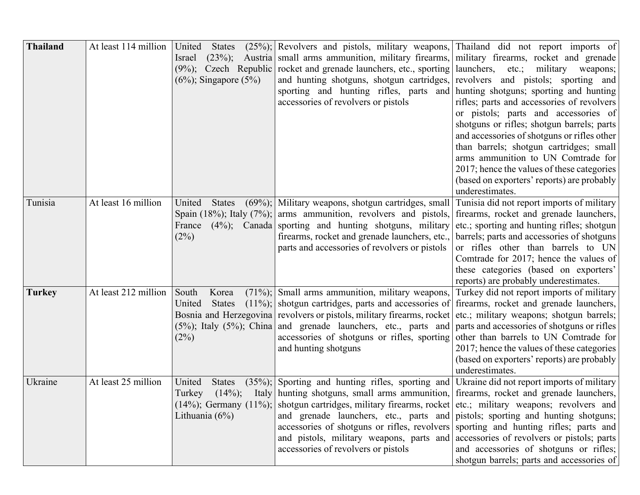| <b>Thailand</b> | At least 114 million | <b>States</b><br>United<br>Israel<br>$(6\%)$ ; Singapore $(5\%)$  | $(25\%)$ ; Revolvers and pistols, military weapons, Thailand did not report imports of<br>$(23\%)$ ; Austria small arms ammunition, military firearms, military firearms, rocket and grenade<br>$(9\%)$ ; Czech Republic rocket and grenade launchers, etc., sporting launchers,<br>and hunting shotguns, shotgun cartridges,<br>sporting and hunting rifles, parts and hunting shotguns; sporting and hunting<br>accessories of revolvers or pistols                                                                                                                                                                 | $etc.$ ;<br>military<br>weapons;<br>revolvers and pistols; sporting and<br>rifles; parts and accessories of revolvers<br>or pistols; parts and accessories of<br>shotguns or rifles; shotgun barrels; parts<br>and accessories of shotguns or rifles other<br>than barrels; shotgun cartridges; small<br>arms ammunition to UN Comtrade for<br>2017; hence the values of these categories<br>(based on exporters' reports) are probably<br>underestimates. |
|-----------------|----------------------|-------------------------------------------------------------------|-----------------------------------------------------------------------------------------------------------------------------------------------------------------------------------------------------------------------------------------------------------------------------------------------------------------------------------------------------------------------------------------------------------------------------------------------------------------------------------------------------------------------------------------------------------------------------------------------------------------------|------------------------------------------------------------------------------------------------------------------------------------------------------------------------------------------------------------------------------------------------------------------------------------------------------------------------------------------------------------------------------------------------------------------------------------------------------------|
| Tunisia         | At least 16 million  | United<br><b>States</b><br>France<br>(2%)                         | $(69\%)$ ; Military weapons, shotgun cartridges, small<br>Spain (18%); Italy (7%); arms ammunition, revolvers and pistols,<br>$(4\%)$ ; Canada sporting and hunting shotguns, military<br>firearms, rocket and grenade launchers, etc.,<br>parts and accessories of revolvers or pistols                                                                                                                                                                                                                                                                                                                              | Tunisia did not report imports of military<br>firearms, rocket and grenade launchers,<br>etc.; sporting and hunting rifles; shotgun<br>barrels; parts and accessories of shotguns<br>or rifles other than barrels to UN<br>Comtrade for 2017; hence the values of<br>these categories (based on exporters'<br>reports) are probably underestimates.                                                                                                        |
| <b>Turkey</b>   | At least 212 million | South<br>Korea<br>United<br><b>States</b><br>(2%)                 | $(71\%)$ ; Small arms ammunition, military weapons,<br>$(11\%)$ ; shotgun cartridges, parts and accessories of firearms, rocket and grenade launchers,<br>Bosnia and Herzegovina revolvers or pistols, military firearms, rocket<br>$(5\%)$ ; Italy $(5\%)$ ; China and grenade launchers, etc., parts and<br>accessories of shotguns or rifles, sporting<br>and hunting shotguns                                                                                                                                                                                                                                     | Turkey did not report imports of military<br>etc.; military weapons; shotgun barrels;<br>parts and accessories of shotguns or rifles<br>other than barrels to UN Comtrade for<br>2017; hence the values of these categories<br>(based on exporters' reports) are probably<br>underestimates.                                                                                                                                                               |
| Ukraine         | At least 25 million  | United<br><b>States</b><br>$(14\%)$ ;<br>Turkey<br>Lithuania (6%) | $(35\%)$ ; Sporting and hunting rifles, sporting and Ukraine did not report imports of military<br>Italy hunting shotguns, small arms ammunition, firearms, rocket and grenade launchers,<br>$(14\%)$ ; Germany $(11\%)$ ; shotgun cartridges, military firearms, rocket etc.; military weapons; revolvers and<br>and grenade launchers, etc., parts and pistols; sporting and hunting shotguns;<br>accessories of shotguns or rifles, revolvers sporting and hunting rifles; parts and<br>and pistols, military weapons, parts and accessories of revolvers or pistols; parts<br>accessories of revolvers or pistols | and accessories of shotguns or rifles;<br>shotgun barrels; parts and accessories of                                                                                                                                                                                                                                                                                                                                                                        |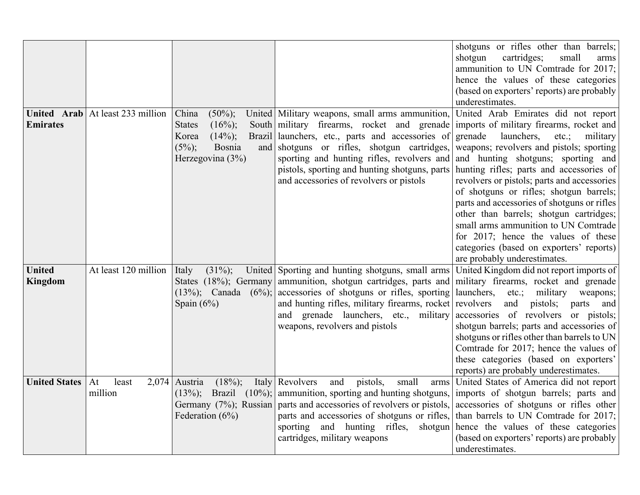|                      |                      |                               |                                                                                                               | shotguns or rifles other than barrels;        |
|----------------------|----------------------|-------------------------------|---------------------------------------------------------------------------------------------------------------|-----------------------------------------------|
|                      |                      |                               |                                                                                                               | shotgun<br>cartridges;<br>small<br>arms       |
|                      |                      |                               |                                                                                                               | ammunition to UN Comtrade for 2017;           |
|                      |                      |                               |                                                                                                               | hence the values of these categories          |
|                      |                      |                               |                                                                                                               | (based on exporters' reports) are probably    |
|                      |                      |                               |                                                                                                               | underestimates.                               |
| United Arab          | At least 233 million | China<br>$(50\%)$ ;           | United Military weapons, small arms ammunition,                                                               | United Arab Emirates did not report           |
| <b>Emirates</b>      |                      | $(16\%)$ ;<br><b>States</b>   | South military firearms, rocket and grenade                                                                   | imports of military firearms, rocket and      |
|                      |                      | $(14\%)$ ;<br>Korea           | Brazil launchers, etc., parts and accessories of                                                              | grenade<br>launchers,<br>$etc.$ ;<br>military |
|                      |                      | $(5\%)$ ;<br>Bosnia           | and shotguns or rifles, shotgun cartridges,                                                                   | weapons; revolvers and pistols; sporting      |
|                      |                      | Herzegovina (3%)              | sporting and hunting rifles, revolvers and                                                                    | and hunting shotguns; sporting and            |
|                      |                      |                               | pistols, sporting and hunting shotguns, parts                                                                 | hunting rifles; parts and accessories of      |
|                      |                      |                               | and accessories of revolvers or pistols                                                                       | revolvers or pistols; parts and accessories   |
|                      |                      |                               |                                                                                                               | of shotguns or rifles; shotgun barrels;       |
|                      |                      |                               |                                                                                                               | parts and accessories of shotguns or rifles   |
|                      |                      |                               |                                                                                                               | other than barrels; shotgun cartridges;       |
|                      |                      |                               |                                                                                                               | small arms ammunition to UN Comtrade          |
|                      |                      |                               |                                                                                                               | for 2017; hence the values of these           |
|                      |                      |                               |                                                                                                               | categories (based on exporters' reports)      |
|                      |                      |                               |                                                                                                               | are probably underestimates.                  |
| <b>United</b>        | At least 120 million | $(31\%)$ ;<br>Italy           | United Sporting and hunting shotguns, small arms                                                              | United Kingdom did not report imports of      |
| <b>Kingdom</b>       |                      |                               | States (18%); Germany ammunition, shotgun cartridges, parts and military firearms, rocket and grenade         |                                               |
|                      |                      |                               | $(13\%)$ ; Canada $(6\%)$ ; accessories of shotguns or rifles, sporting launchers, etc.; military weapons;    |                                               |
|                      |                      | Spain $(6%)$                  | and hunting rifles, military firearms, rocket revolvers                                                       | and<br>pistols; parts and                     |
|                      |                      |                               | and grenade launchers, etc., military accessories of revolvers or pistols;                                    |                                               |
|                      |                      |                               | weapons, revolvers and pistols                                                                                | shotgun barrels; parts and accessories of     |
|                      |                      |                               |                                                                                                               | shotguns or rifles other than barrels to UN   |
|                      |                      |                               |                                                                                                               | Comtrade for 2017; hence the values of        |
|                      |                      |                               |                                                                                                               | these categories (based on exporters'         |
|                      |                      |                               |                                                                                                               | reports) are probably underestimates.         |
| <b>United States</b> | least<br>At          | $2,074$ Austria<br>$(18\%)$ ; | Italy Revolvers<br>and<br>pistols,<br>small                                                                   | arms United States of America did not report  |
|                      | million              |                               | $(13\%)$ ; Brazil $(10\%)$ ; ammunition, sporting and hunting shotguns, imports of shotgun barrels; parts and |                                               |
|                      |                      |                               | Germany (7%); Russian parts and accessories of revolvers or pistols, accessories of shotguns or rifles other  |                                               |
|                      |                      | Federation $(6%)$             | parts and accessories of shotguns or rifles, than barrels to UN Comtrade for 2017;                            |                                               |
|                      |                      |                               | sporting and hunting rifles, shotgun hence the values of these categories                                     |                                               |
|                      |                      |                               | cartridges, military weapons                                                                                  | (based on exporters' reports) are probably    |
|                      |                      |                               |                                                                                                               | underestimates.                               |